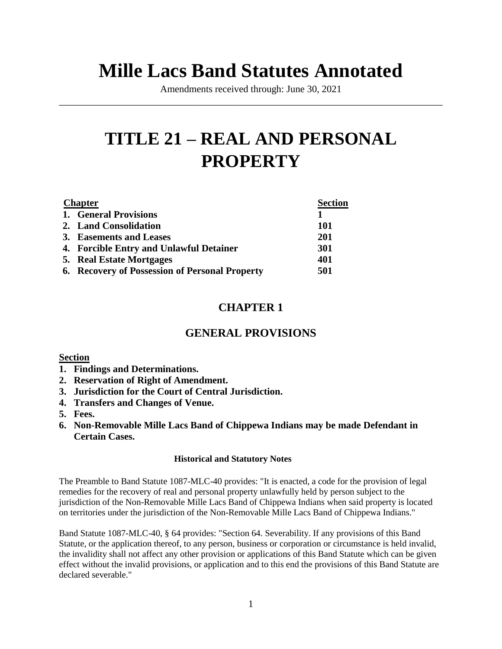# **Mille Lacs Band Statutes Annotated**

Amendments received through: June 30, 2021 \_\_\_\_\_\_\_\_\_\_\_\_\_\_\_\_\_\_\_\_\_\_\_\_\_\_\_\_\_\_\_\_\_\_\_\_\_\_\_\_\_\_\_\_\_\_\_\_\_\_\_\_\_\_\_\_\_\_\_\_\_\_\_\_\_\_\_\_\_\_\_\_\_\_\_\_\_\_

# **TITLE 21 – REAL AND PERSONAL PROPERTY**

| <b>Chapter</b> |                                                | <b>Section</b> |
|----------------|------------------------------------------------|----------------|
|                | 1. General Provisions                          |                |
|                | 2. Land Consolidation                          | 101            |
|                | 3. Easements and Leases                        | <b>201</b>     |
|                | 4. Forcible Entry and Unlawful Detainer        | 301            |
|                | 5. Real Estate Mortgages                       | 401            |
|                | 6. Recovery of Possession of Personal Property | 501            |

# **CHAPTER 1**

# **GENERAL PROVISIONS**

# **Section**

- **1. Findings and Determinations.**
- **2. Reservation of Right of Amendment.**
- **3. Jurisdiction for the Court of Central Jurisdiction.**
- **4. Transfers and Changes of Venue.**
- **5. Fees.**
- **6. Non-Removable Mille Lacs Band of Chippewa Indians may be made Defendant in Certain Cases.**

# **Historical and Statutory Notes**

The Preamble to Band Statute 1087-MLC-40 provides: "It is enacted, a code for the provision of legal remedies for the recovery of real and personal property unlawfully held by person subject to the jurisdiction of the Non-Removable Mille Lacs Band of Chippewa Indians when said property is located on territories under the jurisdiction of the Non-Removable Mille Lacs Band of Chippewa Indians."

Band Statute 1087-MLC-40, § 64 provides: "Section 64. Severability. If any provisions of this Band Statute, or the application thereof, to any person, business or corporation or circumstance is held invalid, the invalidity shall not affect any other provision or applications of this Band Statute which can be given effect without the invalid provisions, or application and to this end the provisions of this Band Statute are declared severable."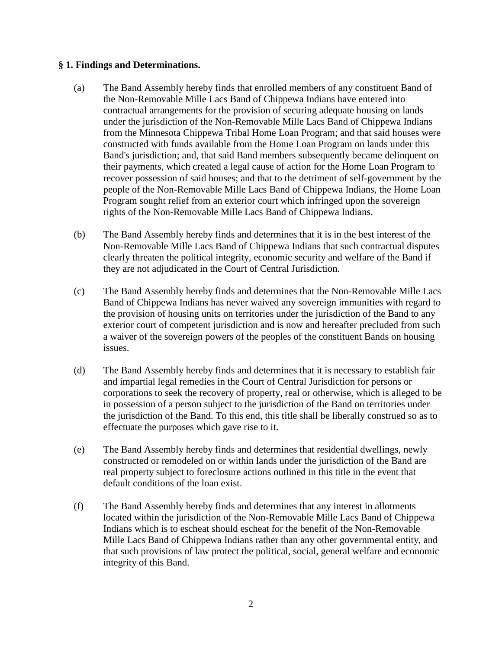# **§ 1. Findings and Determinations.**

- (a) The Band Assembly hereby finds that enrolled members of any constituent Band of the Non-Removable Mille Lacs Band of Chippewa Indians have entered into contractual arrangements for the provision of securing adequate housing on lands under the jurisdiction of the Non-Removable Mille Lacs Band of Chippewa Indians from the Minnesota Chippewa Tribal Home Loan Program; and that said houses were constructed with funds available from the Home Loan Program on lands under this Band's jurisdiction; and, that said Band members subsequently became delinquent on their payments, which created a legal cause of action for the Home Loan Program to recover possession of said houses; and that to the detriment of self-government by the people of the Non-Removable Mille Lacs Band of Chippewa Indians, the Home Loan Program sought relief from an exterior court which infringed upon the sovereign rights of the Non-Removable Mille Lacs Band of Chippewa Indians.
- (b) The Band Assembly hereby finds and determines that it is in the best interest of the Non-Removable Mille Lacs Band of Chippewa Indians that such contractual disputes clearly threaten the political integrity, economic security and welfare of the Band if they are not adjudicated in the Court of Central Jurisdiction.
- (c) The Band Assembly hereby finds and determines that the Non-Removable Mille Lacs Band of Chippewa Indians has never waived any sovereign immunities with regard to the provision of housing units on territories under the jurisdiction of the Band to any exterior court of competent jurisdiction and is now and hereafter precluded from such a waiver of the sovereign powers of the peoples of the constituent Bands on housing issues.
- (d) The Band Assembly hereby finds and determines that it is necessary to establish fair and impartial legal remedies in the Court of Central Jurisdiction for persons or corporations to seek the recovery of property, real or otherwise, which is alleged to be in possession of a person subject to the jurisdiction of the Band on territories under the jurisdiction of the Band. To this end, this title shall be liberally construed so as to effectuate the purposes which gave rise to it.
- (e) The Band Assembly hereby finds and determines that residential dwellings, newly constructed or remodeled on or within lands under the jurisdiction of the Band are real property subject to foreclosure actions outlined in this title in the event that default conditions of the loan exist.
- (f) The Band Assembly hereby finds and determines that any interest in allotments located within the jurisdiction of the Non-Removable Mille Lacs Band of Chippewa Indians which is to escheat should escheat for the benefit of the Non-Removable Mille Lacs Band of Chippewa Indians rather than any other governmental entity, and that such provisions of law protect the political, social, general welfare and economic integrity of this Band.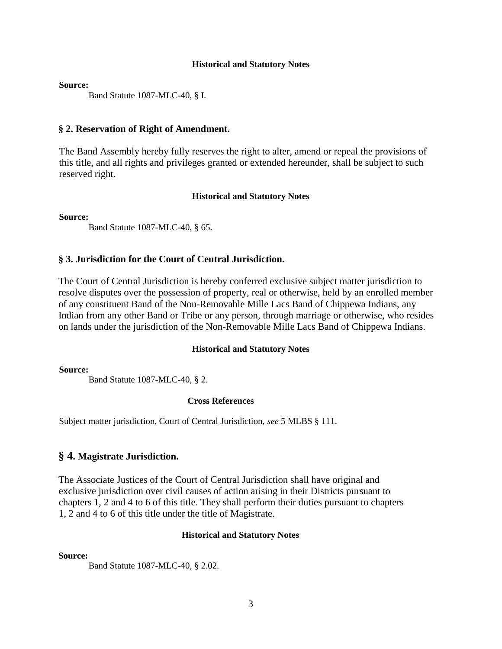**Source:**

Band Statute 1087-MLC-40, § I.

# **§ 2. Reservation of Right of Amendment.**

The Band Assembly hereby fully reserves the right to alter, amend or repeal the provisions of this title, and all rights and privileges granted or extended hereunder, shall be subject to such reserved right.

# **Historical and Statutory Notes**

**Source:**

Band Statute 1087-MLC-40, § 65.

# **§ 3. Jurisdiction for the Court of Central Jurisdiction.**

The Court of Central Jurisdiction is hereby conferred exclusive subject matter jurisdiction to resolve disputes over the possession of property, real or otherwise, held by an enrolled member of any constituent Band of the Non-Removable Mille Lacs Band of Chippewa Indians, any Indian from any other Band or Tribe or any person, through marriage or otherwise, who resides on lands under the jurisdiction of the Non-Removable Mille Lacs Band of Chippewa Indians.

# **Historical and Statutory Notes**

**Source:**

Band Statute 1087-MLC-40, § 2.

# **Cross References**

Subject matter jurisdiction, Court of Central Jurisdiction, *see* 5 MLBS § 111.

# **§ 4. Magistrate Jurisdiction.**

The Associate Justices of the Court of Central Jurisdiction shall have original and exclusive jurisdiction over civil causes of action arising in their Districts pursuant to chapters 1, 2 and 4 to 6 of this title. They shall perform their duties pursuant to chapters 1, 2 and 4 to 6 of this title under the title of Magistrate.

# **Historical and Statutory Notes**

**Source:** 

Band Statute 1087-MLC-40, § 2.02.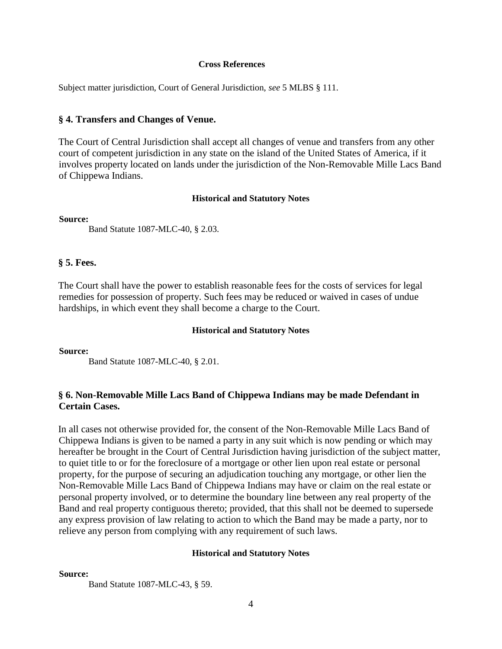### **Cross References**

Subject matter jurisdiction, Court of General Jurisdiction, *see* 5 MLBS § 111.

# **§ 4. Transfers and Changes of Venue.**

The Court of Central Jurisdiction shall accept all changes of venue and transfers from any other court of competent jurisdiction in any state on the island of the United States of America, if it involves property located on lands under the jurisdiction of the Non-Removable Mille Lacs Band of Chippewa Indians.

# **Historical and Statutory Notes**

**Source:**

Band Statute 1087-MLC-40, § 2.03.

# **§ 5. Fees.**

The Court shall have the power to establish reasonable fees for the costs of services for legal remedies for possession of property. Such fees may be reduced or waived in cases of undue hardships, in which event they shall become a charge to the Court.

### **Historical and Statutory Notes**

**Source:**

Band Statute 1087-MLC-40, § 2.01.

# **§ 6. Non-Removable Mille Lacs Band of Chippewa Indians may be made Defendant in Certain Cases.**

In all cases not otherwise provided for, the consent of the Non-Removable Mille Lacs Band of Chippewa Indians is given to be named a party in any suit which is now pending or which may hereafter be brought in the Court of Central Jurisdiction having jurisdiction of the subject matter, to quiet title to or for the foreclosure of a mortgage or other lien upon real estate or personal property, for the purpose of securing an adjudication touching any mortgage, or other lien the Non-Removable Mille Lacs Band of Chippewa Indians may have or claim on the real estate or personal property involved, or to determine the boundary line between any real property of the Band and real property contiguous thereto; provided, that this shall not be deemed to supersede any express provision of law relating to action to which the Band may be made a party, nor to relieve any person from complying with any requirement of such laws.

### **Historical and Statutory Notes**

### **Source:**

Band Statute 1087-MLC-43, § 59.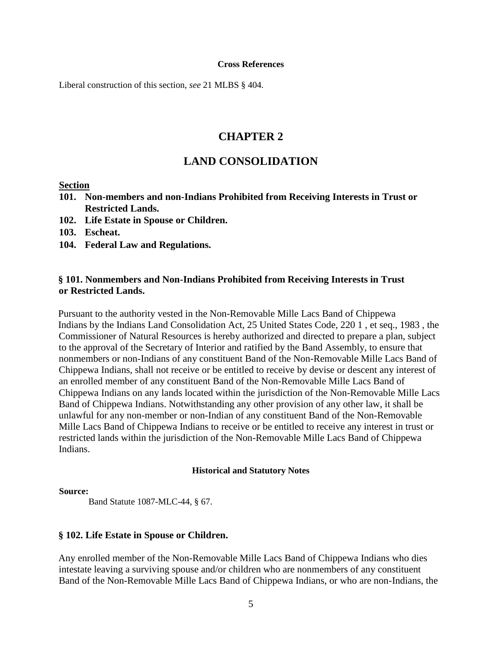#### **Cross References**

Liberal construction of this section, *see* 21 MLBS § 404.

# **CHAPTER 2**

# **LAND CONSOLIDATION**

**Section**

- **101. Non-members and non-Indians Prohibited from Receiving Interests in Trust or Restricted Lands.**
- **102. Life Estate in Spouse or Children.**
- **103. Escheat.**
- **104. Federal Law and Regulations.**

# **§ 101. Nonmembers and Non-Indians Prohibited from Receiving Interests in Trust or Restricted Lands.**

Pursuant to the authority vested in the Non-Removable Mille Lacs Band of Chippewa Indians by the Indians Land Consolidation Act, 25 United States Code, 220 1 , et seq., 1983 , the Commissioner of Natural Resources is hereby authorized and directed to prepare a plan, subject to the approval of the Secretary of Interior and ratified by the Band Assembly, to ensure that nonmembers or non-Indians of any constituent Band of the Non-Removable Mille Lacs Band of Chippewa Indians, shall not receive or be entitled to receive by devise or descent any interest of an enrolled member of any constituent Band of the Non-Removable Mille Lacs Band of Chippewa Indians on any lands located within the jurisdiction of the Non-Removable Mille Lacs Band of Chippewa Indians. Notwithstanding any other provision of any other law, it shall be unlawful for any non-member or non-Indian of any constituent Band of the Non-Removable Mille Lacs Band of Chippewa Indians to receive or be entitled to receive any interest in trust or restricted lands within the jurisdiction of the Non-Removable Mille Lacs Band of Chippewa Indians.

# **Historical and Statutory Notes**

### **Source:**

Band Statute 1087-MLC-44, § 67.

# **§ 102. Life Estate in Spouse or Children.**

Any enrolled member of the Non-Removable Mille Lacs Band of Chippewa Indians who dies intestate leaving a surviving spouse and/or children who are nonmembers of any constituent Band of the Non-Removable Mille Lacs Band of Chippewa Indians, or who are non-Indians, the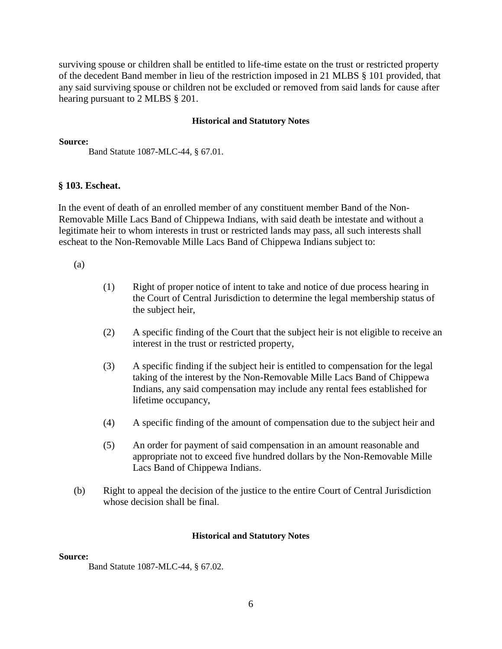surviving spouse or children shall be entitled to life-time estate on the trust or restricted property of the decedent Band member in lieu of the restriction imposed in 21 MLBS § 101 provided, that any said surviving spouse or children not be excluded or removed from said lands for cause after hearing pursuant to 2 MLBS § 201.

### **Historical and Statutory Notes**

### **Source:**

Band Statute 1087-MLC-44, § 67.01.

# **§ 103. Escheat.**

In the event of death of an enrolled member of any constituent member Band of the Non-Removable Mille Lacs Band of Chippewa Indians, with said death be intestate and without a legitimate heir to whom interests in trust or restricted lands may pass, all such interests shall escheat to the Non-Removable Mille Lacs Band of Chippewa Indians subject to:

(a)

- (1) Right of proper notice of intent to take and notice of due process hearing in the Court of Central Jurisdiction to determine the legal membership status of the subject heir,
- (2) A specific finding of the Court that the subject heir is not eligible to receive an interest in the trust or restricted property,
- (3) A specific finding if the subject heir is entitled to compensation for the legal taking of the interest by the Non-Removable Mille Lacs Band of Chippewa Indians, any said compensation may include any rental fees established for lifetime occupancy,
- (4) A specific finding of the amount of compensation due to the subject heir and
- (5) An order for payment of said compensation in an amount reasonable and appropriate not to exceed five hundred dollars by the Non-Removable Mille Lacs Band of Chippewa Indians.
- (b) Right to appeal the decision of the justice to the entire Court of Central Jurisdiction whose decision shall be final.

# **Historical and Statutory Notes**

### **Source:**

Band Statute 1087-MLC-44, § 67.02.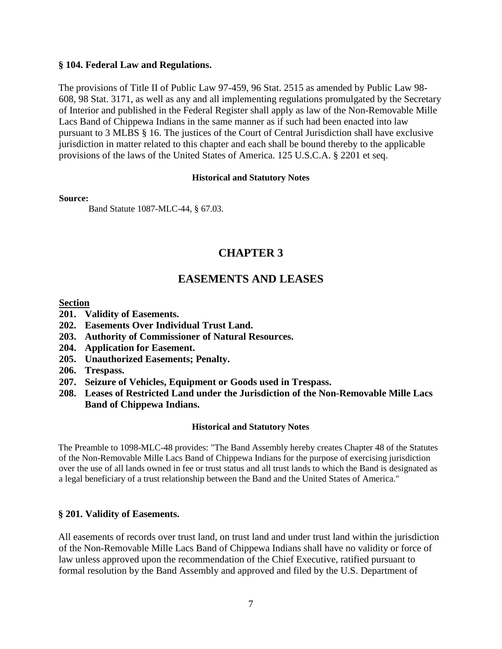# **§ 104. Federal Law and Regulations.**

The provisions of Title II of Public Law 97-459, 96 Stat. 2515 as amended by Public Law 98- 608, 98 Stat. 3171, as well as any and all implementing regulations promulgated by the Secretary of Interior and published in the Federal Register shall apply as law of the Non-Removable Mille Lacs Band of Chippewa Indians in the same manner as if such had been enacted into law pursuant to 3 MLBS § 16. The justices of the Court of Central Jurisdiction shall have exclusive jurisdiction in matter related to this chapter and each shall be bound thereby to the applicable provisions of the laws of the United States of America. 125 U.S.C.A. § 2201 et seq.

# **Historical and Statutory Notes**

# **Source:**

Band Statute 1087-MLC-44, § 67.03.

# **CHAPTER 3**

# **EASEMENTS AND LEASES**

# **Section**

- **201. Validity of Easements.**
- **202. Easements Over Individual Trust Land.**
- **203. Authority of Commissioner of Natural Resources.**
- **204. Application for Easement.**
- **205. Unauthorized Easements; Penalty.**
- **206. Trespass.**
- **207. Seizure of Vehicles, Equipment or Goods used in Trespass.**
- **208. Leases of Restricted Land under the Jurisdiction of the Non-Removable Mille Lacs Band of Chippewa Indians.**

# **Historical and Statutory Notes**

The Preamble to 1098-MLC-48 provides: "The Band Assembly hereby creates Chapter 48 of the Statutes of the Non-Removable Mille Lacs Band of Chippewa Indians for the purpose of exercising jurisdiction over the use of all lands owned in fee or trust status and all trust lands to which the Band is designated as a legal beneficiary of a trust relationship between the Band and the United States of America."

# **§ 201. Validity of Easements.**

All easements of records over trust land, on trust land and under trust land within the jurisdiction of the Non-Removable Mille Lacs Band of Chippewa Indians shall have no validity or force of law unless approved upon the recommendation of the Chief Executive, ratified pursuant to formal resolution by the Band Assembly and approved and filed by the U.S. Department of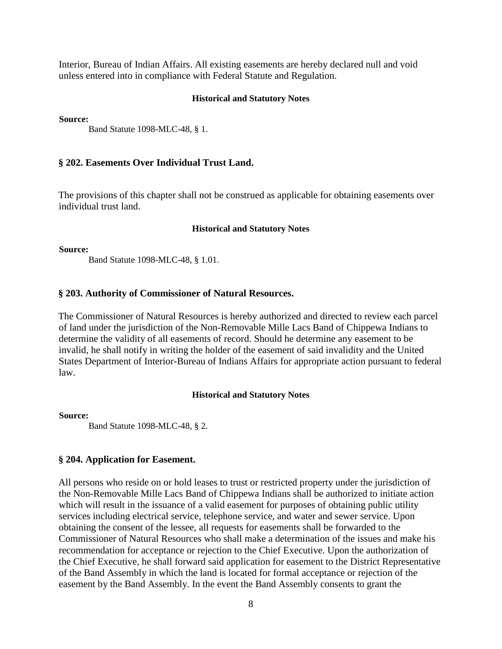Interior, Bureau of Indian Affairs. All existing easements are hereby declared null and void unless entered into in compliance with Federal Statute and Regulation.

### **Historical and Statutory Notes**

**Source:**

Band Statute 1098-MLC-48, § 1.

# **§ 202. Easements Over Individual Trust Land.**

The provisions of this chapter shall not be construed as applicable for obtaining easements over individual trust land.

#### **Historical and Statutory Notes**

**Source:**

Band Statute 1098-MLC-48, § 1.01.

# **§ 203. Authority of Commissioner of Natural Resources.**

The Commissioner of Natural Resources is hereby authorized and directed to review each parcel of land under the jurisdiction of the Non-Removable Mille Lacs Band of Chippewa Indians to determine the validity of all easements of record. Should he determine any easement to be invalid, he shall notify in writing the holder of the easement of said invalidity and the United States Department of Interior-Bureau of Indians Affairs for appropriate action pursuant to federal law.

### **Historical and Statutory Notes**

#### **Source:**

Band Statute 1098-MLC-48, § 2.

# **§ 204. Application for Easement.**

All persons who reside on or hold leases to trust or restricted property under the jurisdiction of the Non-Removable Mille Lacs Band of Chippewa Indians shall be authorized to initiate action which will result in the issuance of a valid easement for purposes of obtaining public utility services including electrical service, telephone service, and water and sewer service. Upon obtaining the consent of the lessee, all requests for easements shall be forwarded to the Commissioner of Natural Resources who shall make a determination of the issues and make his recommendation for acceptance or rejection to the Chief Executive. Upon the authorization of the Chief Executive, he shall forward said application for easement to the District Representative of the Band Assembly in which the land is located for formal acceptance or rejection of the easement by the Band Assembly. In the event the Band Assembly consents to grant the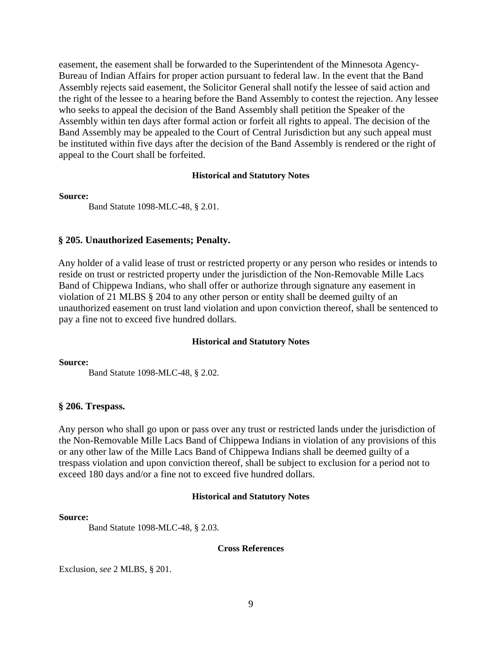easement, the easement shall be forwarded to the Superintendent of the Minnesota Agency-Bureau of Indian Affairs for proper action pursuant to federal law. In the event that the Band Assembly rejects said easement, the Solicitor General shall notify the lessee of said action and the right of the lessee to a hearing before the Band Assembly to contest the rejection. Any lessee who seeks to appeal the decision of the Band Assembly shall petition the Speaker of the Assembly within ten days after formal action or forfeit all rights to appeal. The decision of the Band Assembly may be appealed to the Court of Central Jurisdiction but any such appeal must be instituted within five days after the decision of the Band Assembly is rendered or the right of appeal to the Court shall be forfeited.

### **Historical and Statutory Notes**

### **Source:**

Band Statute 1098-MLC-48, § 2.01.

# **§ 205. Unauthorized Easements; Penalty.**

Any holder of a valid lease of trust or restricted property or any person who resides or intends to reside on trust or restricted property under the jurisdiction of the Non-Removable Mille Lacs Band of Chippewa Indians, who shall offer or authorize through signature any easement in violation of 21 MLBS § 204 to any other person or entity shall be deemed guilty of an unauthorized easement on trust land violation and upon conviction thereof, shall be sentenced to pay a fine not to exceed five hundred dollars.

# **Historical and Statutory Notes**

**Source:**

Band Statute 1098-MLC-48, § 2.02.

# **§ 206. Trespass.**

Any person who shall go upon or pass over any trust or restricted lands under the jurisdiction of the Non-Removable Mille Lacs Band of Chippewa Indians in violation of any provisions of this or any other law of the Mille Lacs Band of Chippewa Indians shall be deemed guilty of a trespass violation and upon conviction thereof, shall be subject to exclusion for a period not to exceed 180 days and/or a fine not to exceed five hundred dollars.

# **Historical and Statutory Notes**

### **Source:**

Band Statute 1098-MLC-48, § 2.03.

# **Cross References**

Exclusion, *see* 2 MLBS, § 201.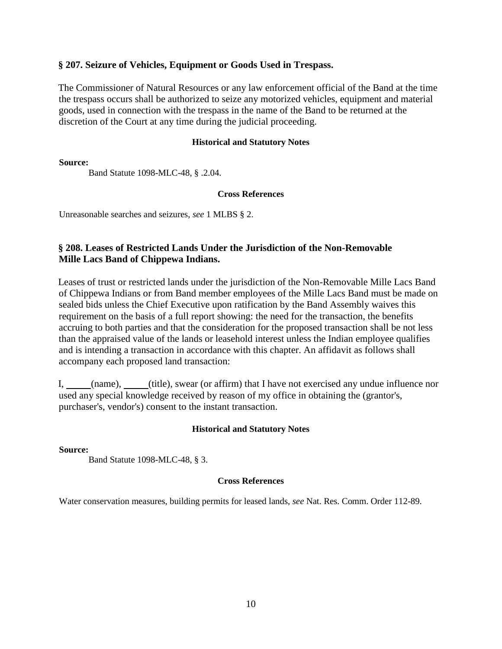# **§ 207. Seizure of Vehicles, Equipment or Goods Used in Trespass.**

The Commissioner of Natural Resources or any law enforcement official of the Band at the time the trespass occurs shall be authorized to seize any motorized vehicles, equipment and material goods, used in connection with the trespass in the name of the Band to be returned at the discretion of the Court at any time during the judicial proceeding.

# **Historical and Statutory Notes**

**Source:**

Band Statute 1098-MLC-48, § .2.04.

### **Cross References**

Unreasonable searches and seizures, *see* 1 MLBS § 2.

# **§ 208. Leases of Restricted Lands Under the Jurisdiction of the Non-Removable Mille Lacs Band of Chippewa Indians.**

Leases of trust or restricted lands under the jurisdiction of the Non-Removable Mille Lacs Band of Chippewa Indians or from Band member employees of the Mille Lacs Band must be made on sealed bids unless the Chief Executive upon ratification by the Band Assembly waives this requirement on the basis of a full report showing: the need for the transaction, the benefits accruing to both parties and that the consideration for the proposed transaction shall be not less than the appraised value of the lands or leasehold interest unless the Indian employee qualifies and is intending a transaction in accordance with this chapter. An affidavit as follows shall accompany each proposed land transaction:

I, \_\_\_\_\_(name), \_\_\_\_\_(title), swear (or affirm) that I have not exercised any undue influence nor used any special knowledge received by reason of my office in obtaining the (grantor's, purchaser's, vendor's) consent to the instant transaction.

# **Historical and Statutory Notes**

**Source:**

Band Statute 1098-MLC-48, § 3.

# **Cross References**

Water conservation measures, building permits for leased lands, *see* Nat. Res. Comm. Order 112-89.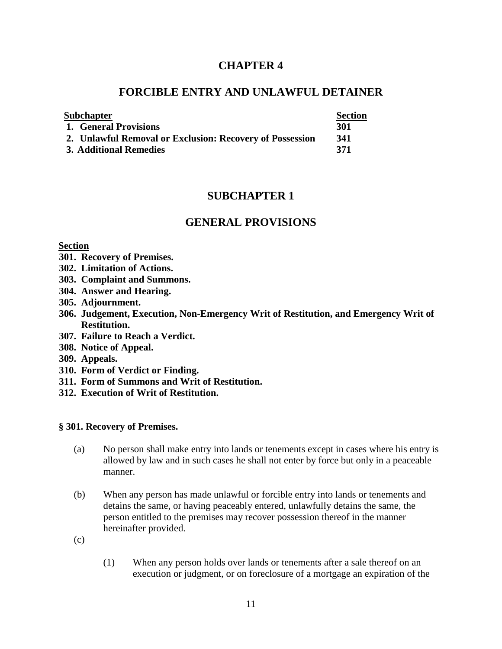# **CHAPTER 4**

# **FORCIBLE ENTRY AND UNLAWFUL DETAINER**

| <b>Subchapter</b> |                                                          | <b>Section</b> |  |
|-------------------|----------------------------------------------------------|----------------|--|
|                   | 1. General Provisions                                    | 301            |  |
|                   | 2. Unlawful Removal or Exclusion: Recovery of Possession | 341            |  |
|                   | 3. Additional Remedies                                   | 371            |  |

# **SUBCHAPTER 1**

# **GENERAL PROVISIONS**

# **Section**

- **301. Recovery of Premises.**
- **302. Limitation of Actions.**
- **303. Complaint and Summons.**
- **304. Answer and Hearing.**
- **305. Adjournment.**
- **306. Judgement, Execution, Non-Emergency Writ of Restitution, and Emergency Writ of Restitution.**
- **307. Failure to Reach a Verdict.**
- **308. Notice of Appeal.**
- **309. Appeals.**
- **310. Form of Verdict or Finding.**
- **311. Form of Summons and Writ of Restitution.**
- **312. Execution of Writ of Restitution.**

# **§ 301. Recovery of Premises.**

- (a) No person shall make entry into lands or tenements except in cases where his entry is allowed by law and in such cases he shall not enter by force but only in a peaceable manner.
- (b) When any person has made unlawful or forcible entry into lands or tenements and detains the same, or having peaceably entered, unlawfully detains the same, the person entitled to the premises may recover possession thereof in the manner hereinafter provided.
- (c)
- (1) When any person holds over lands or tenements after a sale thereof on an execution or judgment, or on foreclosure of a mortgage an expiration of the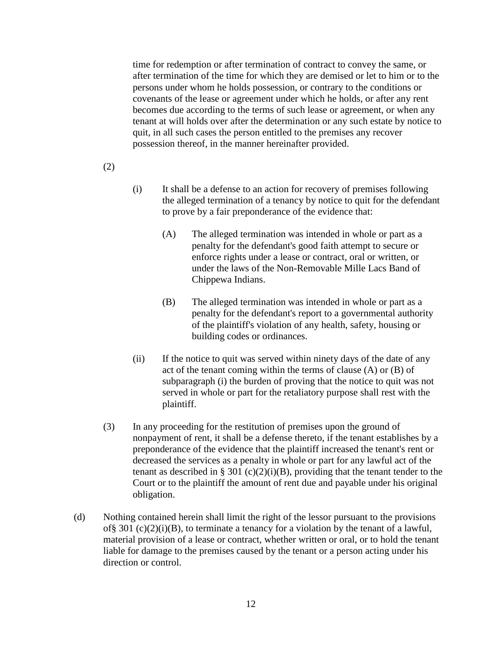time for redemption or after termination of contract to convey the same, or after termination of the time for which they are demised or let to him or to the persons under whom he holds possession, or contrary to the conditions or covenants of the lease or agreement under which he holds, or after any rent becomes due according to the terms of such lease or agreement, or when any tenant at will holds over after the determination or any such estate by notice to quit, in all such cases the person entitled to the premises any recover possession thereof, in the manner hereinafter provided.

- (2)
- (i) It shall be a defense to an action for recovery of premises following the alleged termination of a tenancy by notice to quit for the defendant to prove by a fair preponderance of the evidence that:
	- (A) The alleged termination was intended in whole or part as a penalty for the defendant's good faith attempt to secure or enforce rights under a lease or contract, oral or written, or under the laws of the Non-Removable Mille Lacs Band of Chippewa Indians.
	- (B) The alleged termination was intended in whole or part as a penalty for the defendant's report to a governmental authority of the plaintiff's violation of any health, safety, housing or building codes or ordinances.
- (ii) If the notice to quit was served within ninety days of the date of any act of the tenant coming within the terms of clause (A) or (B) of subparagraph (i) the burden of proving that the notice to quit was not served in whole or part for the retaliatory purpose shall rest with the plaintiff.
- (3) In any proceeding for the restitution of premises upon the ground of nonpayment of rent, it shall be a defense thereto, if the tenant establishes by a preponderance of the evidence that the plaintiff increased the tenant's rent or decreased the services as a penalty in whole or part for any lawful act of the tenant as described in § 301 (c)(2)(i)(B), providing that the tenant tender to the Court or to the plaintiff the amount of rent due and payable under his original obligation.
- (d) Nothing contained herein shall limit the right of the lessor pursuant to the provisions of§ 301 (c)(2)(i)(B), to terminate a tenancy for a violation by the tenant of a lawful, material provision of a lease or contract, whether written or oral, or to hold the tenant liable for damage to the premises caused by the tenant or a person acting under his direction or control.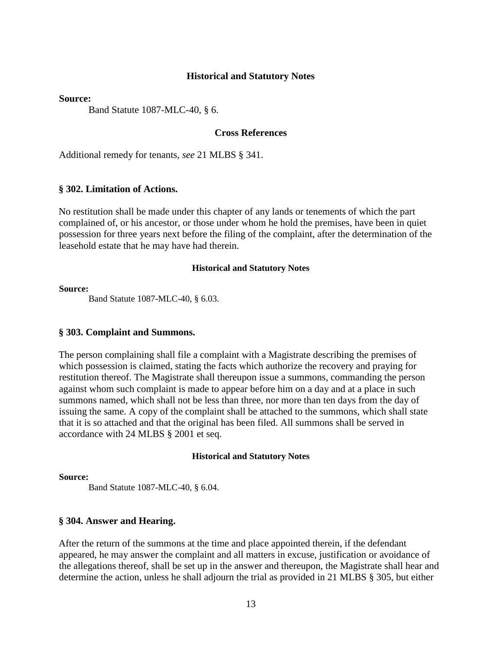### **Source:**

Band Statute 1087-MLC-40, § 6.

### **Cross References**

Additional remedy for tenants, *see* 21 MLBS § 341.

# **§ 302. Limitation of Actions.**

No restitution shall be made under this chapter of any lands or tenements of which the part complained of, or his ancestor, or those under whom he hold the premises, have been in quiet possession for three years next before the filing of the complaint, after the determination of the leasehold estate that he may have had therein.

#### **Historical and Statutory Notes**

### **Source:**

Band Statute 1087-MLC-40, § 6.03.

### **§ 303. Complaint and Summons.**

The person complaining shall file a complaint with a Magistrate describing the premises of which possession is claimed, stating the facts which authorize the recovery and praying for restitution thereof. The Magistrate shall thereupon issue a summons, commanding the person against whom such complaint is made to appear before him on a day and at a place in such summons named, which shall not be less than three, nor more than ten days from the day of issuing the same. A copy of the complaint shall be attached to the summons, which shall state that it is so attached and that the original has been filed. All summons shall be served in accordance with 24 MLBS § 2001 et seq.

#### **Historical and Statutory Notes**

#### **Source:**

Band Statute 1087-MLC-40, § 6.04.

#### **§ 304. Answer and Hearing.**

After the return of the summons at the time and place appointed therein, if the defendant appeared, he may answer the complaint and all matters in excuse, justification or avoidance of the allegations thereof, shall be set up in the answer and thereupon, the Magistrate shall hear and determine the action, unless he shall adjourn the trial as provided in 21 MLBS § 305, but either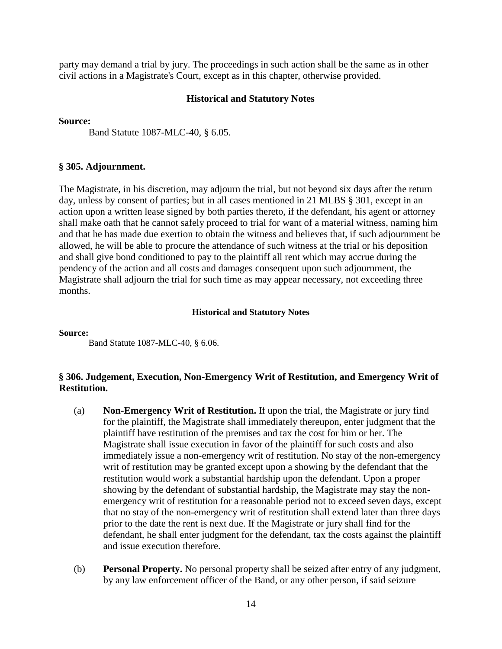party may demand a trial by jury. The proceedings in such action shall be the same as in other civil actions in a Magistrate's Court, except as in this chapter, otherwise provided.

### **Historical and Statutory Notes**

#### **Source:**

Band Statute 1087-MLC-40, § 6.05.

### **§ 305. Adjournment.**

The Magistrate, in his discretion, may adjourn the trial, but not beyond six days after the return day, unless by consent of parties; but in all cases mentioned in 21 MLBS § 301, except in an action upon a written lease signed by both parties thereto, if the defendant, his agent or attorney shall make oath that he cannot safely proceed to trial for want of a material witness, naming him and that he has made due exertion to obtain the witness and believes that, if such adjournment be allowed, he will be able to procure the attendance of such witness at the trial or his deposition and shall give bond conditioned to pay to the plaintiff all rent which may accrue during the pendency of the action and all costs and damages consequent upon such adjournment, the Magistrate shall adjourn the trial for such time as may appear necessary, not exceeding three months.

### **Historical and Statutory Notes**

**Source:** 

Band Statute 1087-MLC-40, § 6.06.

# **§ 306. Judgement, Execution, Non-Emergency Writ of Restitution, and Emergency Writ of Restitution.**

- (a) **Non-Emergency Writ of Restitution.** If upon the trial, the Magistrate or jury find for the plaintiff, the Magistrate shall immediately thereupon, enter judgment that the plaintiff have restitution of the premises and tax the cost for him or her. The Magistrate shall issue execution in favor of the plaintiff for such costs and also immediately issue a non-emergency writ of restitution. No stay of the non-emergency writ of restitution may be granted except upon a showing by the defendant that the restitution would work a substantial hardship upon the defendant. Upon a proper showing by the defendant of substantial hardship, the Magistrate may stay the nonemergency writ of restitution for a reasonable period not to exceed seven days, except that no stay of the non-emergency writ of restitution shall extend later than three days prior to the date the rent is next due. If the Magistrate or jury shall find for the defendant, he shall enter judgment for the defendant, tax the costs against the plaintiff and issue execution therefore.
- (b) **Personal Property.** No personal property shall be seized after entry of any judgment, by any law enforcement officer of the Band, or any other person, if said seizure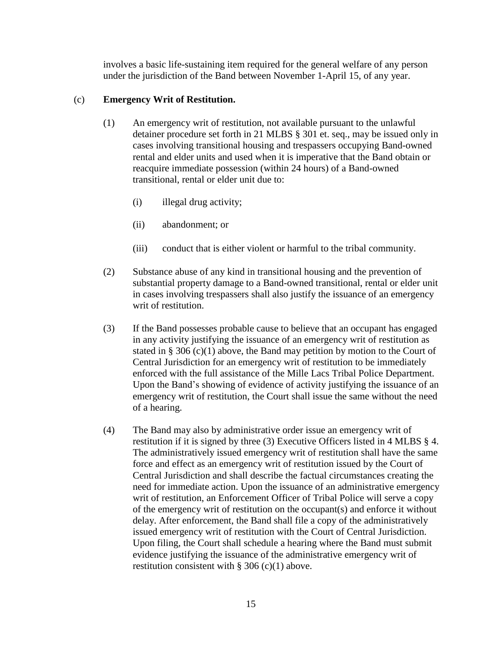involves a basic life-sustaining item required for the general welfare of any person under the jurisdiction of the Band between November 1-April 15, of any year.

# (c) **Emergency Writ of Restitution.**

- (1) An emergency writ of restitution, not available pursuant to the unlawful detainer procedure set forth in 21 MLBS § 301 et. seq., may be issued only in cases involving transitional housing and trespassers occupying Band-owned rental and elder units and used when it is imperative that the Band obtain or reacquire immediate possession (within 24 hours) of a Band-owned transitional, rental or elder unit due to:
	- (i) illegal drug activity;
	- (ii) abandonment; or
	- (iii) conduct that is either violent or harmful to the tribal community.
- (2) Substance abuse of any kind in transitional housing and the prevention of substantial property damage to a Band-owned transitional, rental or elder unit in cases involving trespassers shall also justify the issuance of an emergency writ of restitution.
- (3) If the Band possesses probable cause to believe that an occupant has engaged in any activity justifying the issuance of an emergency writ of restitution as stated in § 306 (c)(1) above, the Band may petition by motion to the Court of Central Jurisdiction for an emergency writ of restitution to be immediately enforced with the full assistance of the Mille Lacs Tribal Police Department. Upon the Band's showing of evidence of activity justifying the issuance of an emergency writ of restitution, the Court shall issue the same without the need of a hearing.
- (4) The Band may also by administrative order issue an emergency writ of restitution if it is signed by three (3) Executive Officers listed in 4 MLBS § 4. The administratively issued emergency writ of restitution shall have the same force and effect as an emergency writ of restitution issued by the Court of Central Jurisdiction and shall describe the factual circumstances creating the need for immediate action. Upon the issuance of an administrative emergency writ of restitution, an Enforcement Officer of Tribal Police will serve a copy of the emergency writ of restitution on the occupant(s) and enforce it without delay. After enforcement, the Band shall file a copy of the administratively issued emergency writ of restitution with the Court of Central Jurisdiction. Upon filing, the Court shall schedule a hearing where the Band must submit evidence justifying the issuance of the administrative emergency writ of restitution consistent with  $\S 306$  (c)(1) above.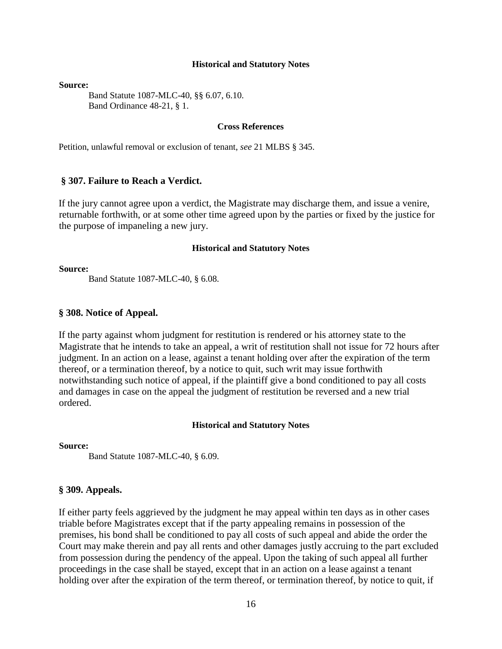**Source:** 

Band Statute 1087-MLC-40, §§ 6.07, 6.10. Band Ordinance 48-21, § 1.

### **Cross References**

Petition, unlawful removal or exclusion of tenant, *see* 21 MLBS § 345.

### **§ 307. Failure to Reach a Verdict.**

If the jury cannot agree upon a verdict, the Magistrate may discharge them, and issue a venire, returnable forthwith, or at some other time agreed upon by the parties or fixed by the justice for the purpose of impaneling a new jury.

#### **Historical and Statutory Notes**

**Source:**

Band Statute 1087-MLC-40, § 6.08.

# **§ 308. Notice of Appeal.**

If the party against whom judgment for restitution is rendered or his attorney state to the Magistrate that he intends to take an appeal, a writ of restitution shall not issue for 72 hours after judgment. In an action on a lease, against a tenant holding over after the expiration of the term thereof, or a termination thereof, by a notice to quit, such writ may issue forthwith notwithstanding such notice of appeal, if the plaintiff give a bond conditioned to pay all costs and damages in case on the appeal the judgment of restitution be reversed and a new trial ordered.

#### **Historical and Statutory Notes**

**Source:** 

Band Statute 1087-MLC-40, § 6.09.

# **§ 309. Appeals.**

If either party feels aggrieved by the judgment he may appeal within ten days as in other cases triable before Magistrates except that if the party appealing remains in possession of the premises, his bond shall be conditioned to pay all costs of such appeal and abide the order the Court may make therein and pay all rents and other damages justly accruing to the part excluded from possession during the pendency of the appeal. Upon the taking of such appeal all further proceedings in the case shall be stayed, except that in an action on a lease against a tenant holding over after the expiration of the term thereof, or termination thereof, by notice to quit, if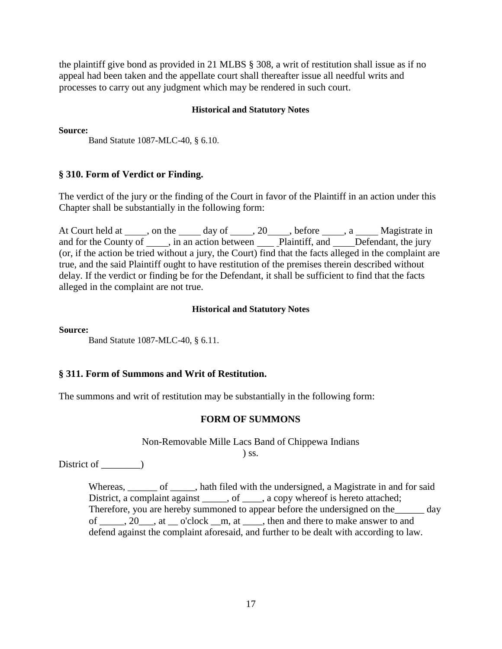the plaintiff give bond as provided in 21 MLBS § 308, a writ of restitution shall issue as if no appeal had been taken and the appellate court shall thereafter issue all needful writs and processes to carry out any judgment which may be rendered in such court.

# **Historical and Statutory Notes**

**Source:** 

Band Statute 1087-MLC-40, § 6.10.

# **§ 310. Form of Verdict or Finding.**

The verdict of the jury or the finding of the Court in favor of the Plaintiff in an action under this Chapter shall be substantially in the following form:

At Court held at  $\_\_\_\_$ , on the  $\_\_\_\_$  day of  $\_\_\_\_$ , 20  $\_\_\_\_\_$ , before  $\_\_\_\_$ , a  $\_\_\_\_\_$  Magistrate in and for the County of \_\_\_\_\_, in an action between \_\_\_\_\_\_\_\_ Plaintiff, and \_\_\_\_\_\_Defendant, the jury (or, if the action be tried without a jury, the Court) find that the facts alleged in the complaint are true, and the said Plaintiff ought to have restitution of the premises therein described without delay. If the verdict or finding be for the Defendant, it shall be sufficient to find that the facts alleged in the complaint are not true.

# **Historical and Statutory Notes**

**Source:**

Band Statute 1087-MLC-40, § 6.11.

# **§ 311. Form of Summons and Writ of Restitution.**

The summons and writ of restitution may be substantially in the following form:

# **FORM OF SUMMONS**

# Non-Removable Mille Lacs Band of Chippewa Indians

 $\sum$  ss.

District of \_\_\_\_\_\_\_\_)

Whereas, of hath filed with the undersigned, a Magistrate in and for said District, a complaint against \_\_\_\_\_, of \_\_\_\_, a copy whereof is hereto attached; Therefore, you are hereby summoned to appear before the undersigned on the\_\_\_\_\_\_ day of \_\_\_\_\_, 20\_\_\_, at \_\_ o'clock \_\_m, at \_\_\_\_, then and there to make answer to and defend against the complaint aforesaid, and further to be dealt with according to law.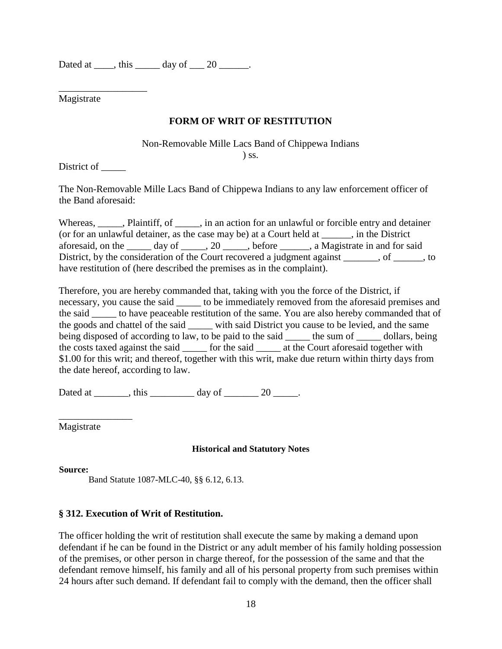Dated at  $\_\_\_\$ , this  $\_\_\_\$  day of  $\_\_\$  20  $\_\_\_\_\$ .

Magistrate

\_\_\_\_\_\_\_\_\_\_\_\_\_\_\_\_\_\_

# **FORM OF WRIT OF RESTITUTION**

Non-Removable Mille Lacs Band of Chippewa Indians ) ss.

District of

The Non-Removable Mille Lacs Band of Chippewa Indians to any law enforcement officer of the Band aforesaid:

Whereas, Plaintiff, of , in an action for an unlawful or forcible entry and detainer (or for an unlawful detainer, as the case may be) at a Court held at \_\_\_\_\_\_, in the District aforesaid, on the \_\_\_\_\_ day of \_\_\_\_\_, 20 \_\_\_\_\_, before \_\_\_\_\_\_, a Magistrate in and for said District, by the consideration of the Court recovered a judgment against \_\_\_\_\_\_, of \_\_\_\_\_, to have restitution of (here described the premises as in the complaint).

Therefore, you are hereby commanded that, taking with you the force of the District, if necessary, you cause the said  $\qquad$  to be immediately removed from the aforesaid premises and the said \_\_\_\_\_ to have peaceable restitution of the same. You are also hereby commanded that of the goods and chattel of the said with said District you cause to be levied, and the same being disposed of according to law, to be paid to the said \_\_\_\_\_\_\_ the sum of \_\_\_\_\_\_\_ dollars, being the costs taxed against the said \_\_\_\_\_ for the said \_\_\_\_\_ at the Court aforesaid together with \$1.00 for this writ; and thereof, together with this writ, make due return within thirty days from the date hereof, according to law.

Dated at  $\qquad \qquad$ , this  $\qquad \qquad$  day of  $\qquad \qquad$  20  $\qquad$ .

\_\_\_\_\_\_\_\_\_\_\_\_\_\_\_ Magistrate

# **Historical and Statutory Notes**

**Source:**

Band Statute 1087-MLC-40, §§ 6.12, 6.13.

# **§ 312. Execution of Writ of Restitution.**

The officer holding the writ of restitution shall execute the same by making a demand upon defendant if he can be found in the District or any adult member of his family holding possession of the premises, or other person in charge thereof, for the possession of the same and that the defendant remove himself, his family and all of his personal property from such premises within 24 hours after such demand. If defendant fail to comply with the demand, then the officer shall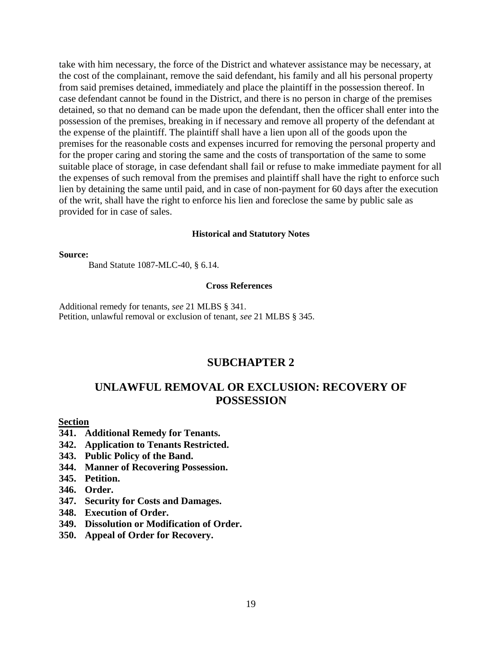take with him necessary, the force of the District and whatever assistance may be necessary, at the cost of the complainant, remove the said defendant, his family and all his personal property from said premises detained, immediately and place the plaintiff in the possession thereof. In case defendant cannot be found in the District, and there is no person in charge of the premises detained, so that no demand can be made upon the defendant, then the officer shall enter into the possession of the premises, breaking in if necessary and remove all property of the defendant at the expense of the plaintiff. The plaintiff shall have a lien upon all of the goods upon the premises for the reasonable costs and expenses incurred for removing the personal property and for the proper caring and storing the same and the costs of transportation of the same to some suitable place of storage, in case defendant shall fail or refuse to make immediate payment for all the expenses of such removal from the premises and plaintiff shall have the right to enforce such lien by detaining the same until paid, and in case of non-payment for 60 days after the execution of the writ, shall have the right to enforce his lien and foreclose the same by public sale as provided for in case of sales.

### **Historical and Statutory Notes**

#### **Source:**

Band Statute 1087-MLC-40, § 6.14.

### **Cross References**

Additional remedy for tenants, *see* 21 MLBS § 341. Petition, unlawful removal or exclusion of tenant, *see* 21 MLBS § 345.

# **SUBCHAPTER 2**

# **UNLAWFUL REMOVAL OR EXCLUSION: RECOVERY OF POSSESSION**

# **Section**

- **341. Additional Remedy for Tenants.**
- **342. Application to Tenants Restricted.**
- **343. Public Policy of the Band.**
- **344. Manner of Recovering Possession.**
- **345. Petition.**
- **346. Order.**
- **347. Security for Costs and Damages.**
- **348. Execution of Order.**
- **349. Dissolution or Modification of Order.**
- **350. Appeal of Order for Recovery.**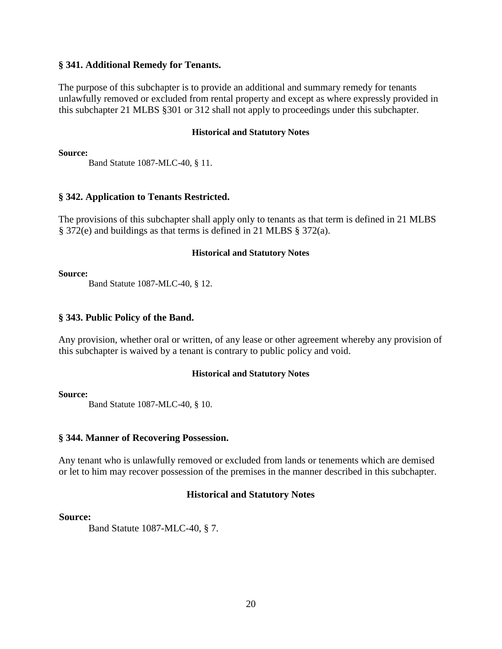# **§ 341. Additional Remedy for Tenants.**

The purpose of this subchapter is to provide an additional and summary remedy for tenants unlawfully removed or excluded from rental property and except as where expressly provided in this subchapter 21 MLBS §301 or 312 shall not apply to proceedings under this subchapter.

### **Historical and Statutory Notes**

**Source:** 

Band Statute 1087-MLC-40, § 11.

# **§ 342. Application to Tenants Restricted.**

The provisions of this subchapter shall apply only to tenants as that term is defined in 21 MLBS § 372(e) and buildings as that terms is defined in 21 MLBS § 372(a).

# **Historical and Statutory Notes**

### **Source:**

Band Statute 1087-MLC-40, § 12.

# **§ 343. Public Policy of the Band.**

Any provision, whether oral or written, of any lease or other agreement whereby any provision of this subchapter is waived by a tenant is contrary to public policy and void.

# **Historical and Statutory Notes**

**Source:**

Band Statute 1087-MLC-40, § 10.

# **§ 344. Manner of Recovering Possession.**

Any tenant who is unlawfully removed or excluded from lands or tenements which are demised or let to him may recover possession of the premises in the manner described in this subchapter.

# **Historical and Statutory Notes**

# **Source:**

Band Statute 1087-MLC-40, § 7.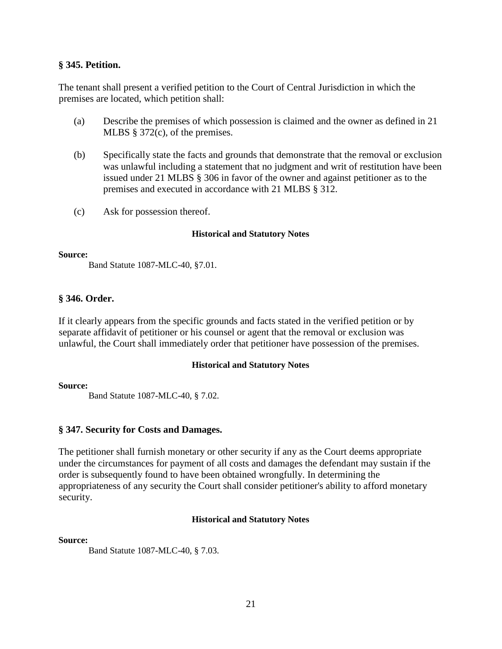# **§ 345. Petition.**

The tenant shall present a verified petition to the Court of Central Jurisdiction in which the premises are located, which petition shall:

- (a) Describe the premises of which possession is claimed and the owner as defined in 21 MLBS § 372(c), of the premises.
- (b) Specifically state the facts and grounds that demonstrate that the removal or exclusion was unlawful including a statement that no judgment and writ of restitution have been issued under 21 MLBS § 306 in favor of the owner and against petitioner as to the premises and executed in accordance with 21 MLBS § 312.
- (c) Ask for possession thereof.

# **Historical and Statutory Notes**

### **Source:**

Band Statute 1087-MLC-40, §7.01.

# **§ 346. Order.**

If it clearly appears from the specific grounds and facts stated in the verified petition or by separate affidavit of petitioner or his counsel or agent that the removal or exclusion was unlawful, the Court shall immediately order that petitioner have possession of the premises.

# **Historical and Statutory Notes**

# **Source:**

Band Statute 1087-MLC-40, § 7.02.

# **§ 347. Security for Costs and Damages.**

The petitioner shall furnish monetary or other security if any as the Court deems appropriate under the circumstances for payment of all costs and damages the defendant may sustain if the order is subsequently found to have been obtained wrongfully. In determining the appropriateness of any security the Court shall consider petitioner's ability to afford monetary security.

# **Historical and Statutory Notes**

# **Source:**

Band Statute 1087-MLC-40, § 7.03.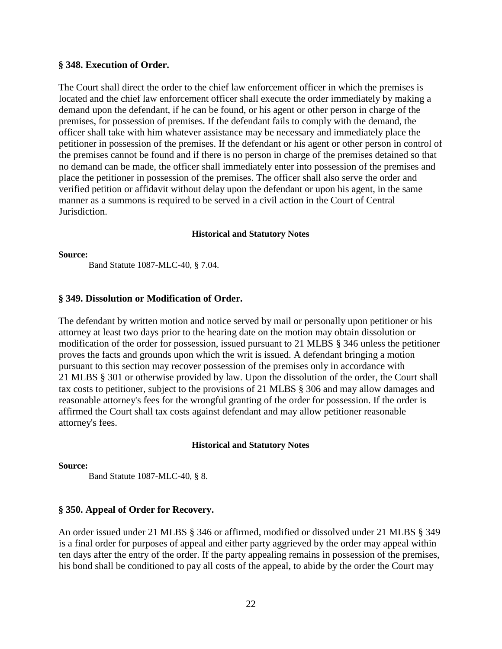# **§ 348. Execution of Order.**

The Court shall direct the order to the chief law enforcement officer in which the premises is located and the chief law enforcement officer shall execute the order immediately by making a demand upon the defendant, if he can be found, or his agent or other person in charge of the premises, for possession of premises. If the defendant fails to comply with the demand, the officer shall take with him whatever assistance may be necessary and immediately place the petitioner in possession of the premises. If the defendant or his agent or other person in control of the premises cannot be found and if there is no person in charge of the premises detained so that no demand can be made, the officer shall immediately enter into possession of the premises and place the petitioner in possession of the premises. The officer shall also serve the order and verified petition or affidavit without delay upon the defendant or upon his agent, in the same manner as a summons is required to be served in a civil action in the Court of Central Jurisdiction.

### **Historical and Statutory Notes**

#### **Source:**

Band Statute 1087-MLC-40, § 7.04.

### **§ 349. Dissolution or Modification of Order.**

The defendant by written motion and notice served by mail or personally upon petitioner or his attorney at least two days prior to the hearing date on the motion may obtain dissolution or modification of the order for possession, issued pursuant to 21 MLBS § 346 unless the petitioner proves the facts and grounds upon which the writ is issued. A defendant bringing a motion pursuant to this section may recover possession of the premises only in accordance with 21 MLBS § 301 or otherwise provided by law. Upon the dissolution of the order, the Court shall tax costs to petitioner, subject to the provisions of 21 MLBS § 306 and may allow damages and reasonable attorney's fees for the wrongful granting of the order for possession. If the order is affirmed the Court shall tax costs against defendant and may allow petitioner reasonable attorney's fees.

### **Historical and Statutory Notes**

# **Source:**

Band Statute 1087-MLC-40, § 8.

# **§ 350. Appeal of Order for Recovery.**

An order issued under 21 MLBS § 346 or affirmed, modified or dissolved under 21 MLBS § 349 is a final order for purposes of appeal and either party aggrieved by the order may appeal within ten days after the entry of the order. If the party appealing remains in possession of the premises, his bond shall be conditioned to pay all costs of the appeal, to abide by the order the Court may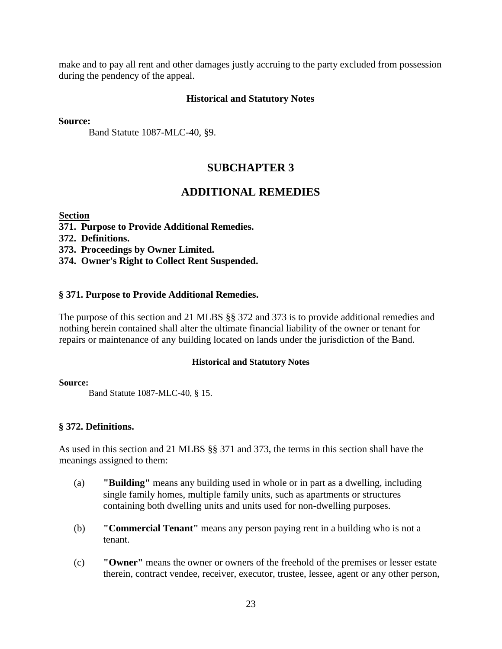make and to pay all rent and other damages justly accruing to the party excluded from possession during the pendency of the appeal.

# **Historical and Statutory Notes**

**Source:** 

Band Statute 1087-MLC-40, §9.

# **SUBCHAPTER 3**

# **ADDITIONAL REMEDIES**

# **Section**

- **371. Purpose to Provide Additional Remedies.**
- **372. Definitions.**
- **373. Proceedings by Owner Limited.**
- **374. Owner's Right to Collect Rent Suspended.**

# **§ 371. Purpose to Provide Additional Remedies.**

The purpose of this section and 21 MLBS §§ 372 and 373 is to provide additional remedies and nothing herein contained shall alter the ultimate financial liability of the owner or tenant for repairs or maintenance of any building located on lands under the jurisdiction of the Band.

# **Historical and Statutory Notes**

# **Source:**

Band Statute 1087-MLC-40, § 15.

# **§ 372. Definitions.**

As used in this section and 21 MLBS §§ 371 and 373, the terms in this section shall have the meanings assigned to them:

- (a) **"Building"** means any building used in whole or in part as a dwelling, including single family homes, multiple family units, such as apartments or structures containing both dwelling units and units used for non-dwelling purposes.
- (b) **"Commercial Tenant"** means any person paying rent in a building who is not a tenant.
- (c) **"Owner"** means the owner or owners of the freehold of the premises or lesser estate therein, contract vendee, receiver, executor, trustee, lessee, agent or any other person,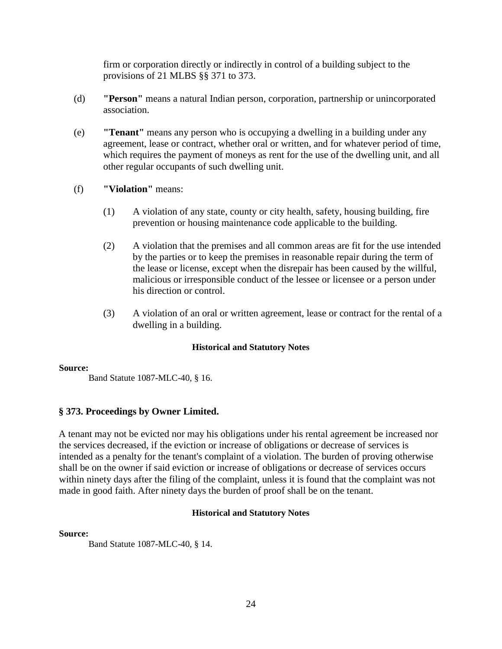firm or corporation directly or indirectly in control of a building subject to the provisions of 21 MLBS §§ 371 to 373.

- (d) **"Person"** means a natural Indian person, corporation, partnership or unincorporated association.
- (e) **"Tenant"** means any person who is occupying a dwelling in a building under any agreement, lease or contract, whether oral or written, and for whatever period of time, which requires the payment of moneys as rent for the use of the dwelling unit, and all other regular occupants of such dwelling unit.
- (f) **"Violation"** means:
	- (1) A violation of any state, county or city health, safety, housing building, fire prevention or housing maintenance code applicable to the building.
	- (2) A violation that the premises and all common areas are fit for the use intended by the parties or to keep the premises in reasonable repair during the term of the lease or license, except when the disrepair has been caused by the willful, malicious or irresponsible conduct of the lessee or licensee or a person under his direction or control.
	- (3) A violation of an oral or written agreement, lease or contract for the rental of a dwelling in a building.

# **Historical and Statutory Notes**

# **Source:**

Band Statute 1087-MLC-40, § 16.

# **§ 373. Proceedings by Owner Limited.**

A tenant may not be evicted nor may his obligations under his rental agreement be increased nor the services decreased, if the eviction or increase of obligations or decrease of services is intended as a penalty for the tenant's complaint of a violation. The burden of proving otherwise shall be on the owner if said eviction or increase of obligations or decrease of services occurs within ninety days after the filing of the complaint, unless it is found that the complaint was not made in good faith. After ninety days the burden of proof shall be on the tenant.

# **Historical and Statutory Notes**

# **Source:**

Band Statute 1087-MLC-40, § 14.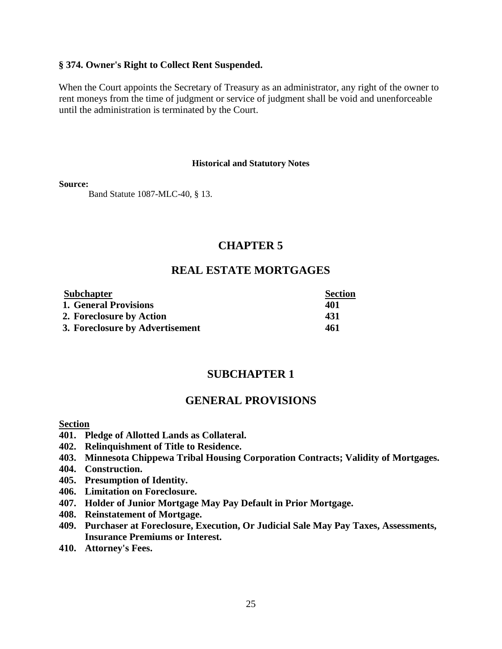# **§ 374. Owner's Right to Collect Rent Suspended.**

When the Court appoints the Secretary of Treasury as an administrator, any right of the owner to rent moneys from the time of judgment or service of judgment shall be void and unenforceable until the administration is terminated by the Court.

### **Historical and Statutory Notes**

### **Source:**

Band Statute 1087-MLC-40, § 13.

# **CHAPTER 5**

# **REAL ESTATE MORTGAGES**

| <b>Subchapter</b>               | <b>Section</b> |
|---------------------------------|----------------|
| <b>1. General Provisions</b>    | 401            |
| 2. Foreclosure by Action        | 431            |
| 3. Foreclosure by Advertisement | 461            |

# **SUBCHAPTER 1**

# **GENERAL PROVISIONS**

# **Section**

- **401. Pledge of Allotted Lands as Collateral.**
- **402. Relinquishment of Title to Residence.**
- **403. Minnesota Chippewa Tribal Housing Corporation Contracts; Validity of Mortgages.**
- **404. Construction.**
- **405. Presumption of Identity.**
- **406. Limitation on Foreclosure.**
- **407. Holder of Junior Mortgage May Pay Default in Prior Mortgage.**
- **408. Reinstatement of Mortgage.**
- **409. Purchaser at Foreclosure, Execution, Or Judicial Sale May Pay Taxes, Assessments, Insurance Premiums or Interest.**
- **410. Attorney's Fees.**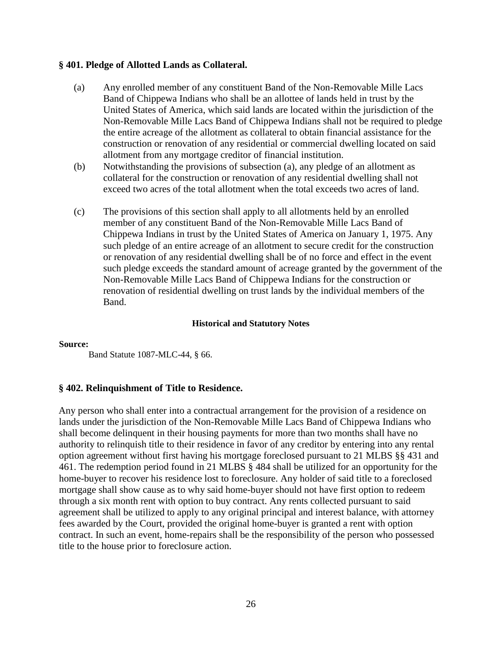# **§ 401. Pledge of Allotted Lands as Collateral.**

- (a) Any enrolled member of any constituent Band of the Non-Removable Mille Lacs Band of Chippewa Indians who shall be an allottee of lands held in trust by the United States of America, which said lands are located within the jurisdiction of the Non-Removable Mille Lacs Band of Chippewa Indians shall not be required to pledge the entire acreage of the allotment as collateral to obtain financial assistance for the construction or renovation of any residential or commercial dwelling located on said allotment from any mortgage creditor of financial institution.
- (b) Notwithstanding the provisions of subsection (a), any pledge of an allotment as collateral for the construction or renovation of any residential dwelling shall not exceed two acres of the total allotment when the total exceeds two acres of land.
- (c) The provisions of this section shall apply to all allotments held by an enrolled member of any constituent Band of the Non-Removable Mille Lacs Band of Chippewa Indians in trust by the United States of America on January 1, 1975. Any such pledge of an entire acreage of an allotment to secure credit for the construction or renovation of any residential dwelling shall be of no force and effect in the event such pledge exceeds the standard amount of acreage granted by the government of the Non-Removable Mille Lacs Band of Chippewa Indians for the construction or renovation of residential dwelling on trust lands by the individual members of the Band.

# **Historical and Statutory Notes**

# **Source:**

Band Statute 1087-MLC-44, § 66.

# **§ 402. Relinquishment of Title to Residence.**

Any person who shall enter into a contractual arrangement for the provision of a residence on lands under the jurisdiction of the Non-Removable Mille Lacs Band of Chippewa Indians who shall become delinquent in their housing payments for more than two months shall have no authority to relinquish title to their residence in favor of any creditor by entering into any rental option agreement without first having his mortgage foreclosed pursuant to 21 MLBS §§ 431 and 461. The redemption period found in 21 MLBS § 484 shall be utilized for an opportunity for the home-buyer to recover his residence lost to foreclosure. Any holder of said title to a foreclosed mortgage shall show cause as to why said home-buyer should not have first option to redeem through a six month rent with option to buy contract. Any rents collected pursuant to said agreement shall be utilized to apply to any original principal and interest balance, with attorney fees awarded by the Court, provided the original home-buyer is granted a rent with option contract. In such an event, home-repairs shall be the responsibility of the person who possessed title to the house prior to foreclosure action.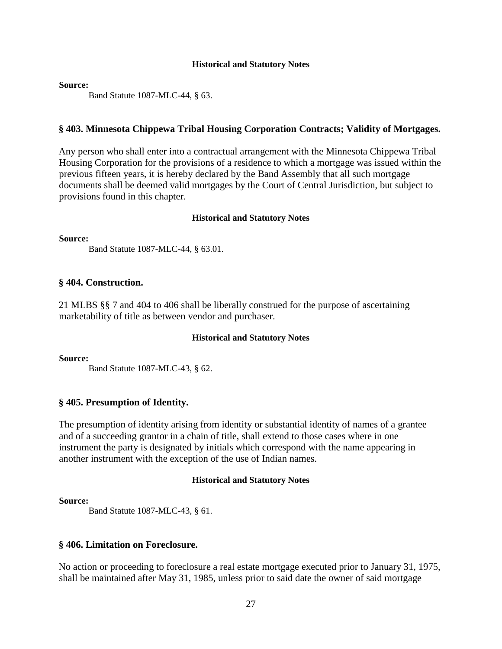### **Source:**

Band Statute 1087-MLC-44, § 63.

# **§ 403. Minnesota Chippewa Tribal Housing Corporation Contracts; Validity of Mortgages.**

Any person who shall enter into a contractual arrangement with the Minnesota Chippewa Tribal Housing Corporation for the provisions of a residence to which a mortgage was issued within the previous fifteen years, it is hereby declared by the Band Assembly that all such mortgage documents shall be deemed valid mortgages by the Court of Central Jurisdiction, but subject to provisions found in this chapter.

### **Historical and Statutory Notes**

### **Source:**

Band Statute 1087-MLC-44, § 63.01.

# **§ 404. Construction.**

21 MLBS §§ 7 and 404 to 406 shall be liberally construed for the purpose of ascertaining marketability of title as between vendor and purchaser.

# **Historical and Statutory Notes**

**Source:**

Band Statute 1087-MLC-43, § 62.

# **§ 405. Presumption of Identity.**

The presumption of identity arising from identity or substantial identity of names of a grantee and of a succeeding grantor in a chain of title, shall extend to those cases where in one instrument the party is designated by initials which correspond with the name appearing in another instrument with the exception of the use of Indian names.

# **Historical and Statutory Notes**

# **Source:**

Band Statute 1087-MLC-43, § 61.

# **§ 406. Limitation on Foreclosure.**

No action or proceeding to foreclosure a real estate mortgage executed prior to January 31, 1975, shall be maintained after May 31, 1985, unless prior to said date the owner of said mortgage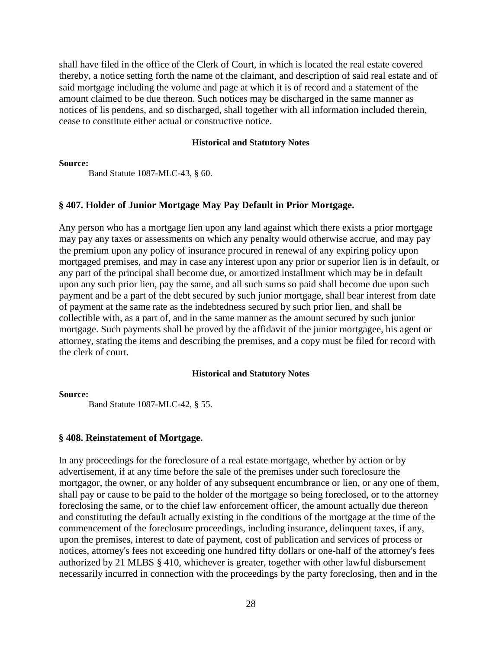shall have filed in the office of the Clerk of Court, in which is located the real estate covered thereby, a notice setting forth the name of the claimant, and description of said real estate and of said mortgage including the volume and page at which it is of record and a statement of the amount claimed to be due thereon. Such notices may be discharged in the same manner as notices of lis pendens, and so discharged, shall together with all information included therein, cease to constitute either actual or constructive notice.

#### **Historical and Statutory Notes**

#### **Source:**

Band Statute 1087-MLC-43, § 60.

# **§ 407. Holder of Junior Mortgage May Pay Default in Prior Mortgage.**

Any person who has a mortgage lien upon any land against which there exists a prior mortgage may pay any taxes or assessments on which any penalty would otherwise accrue, and may pay the premium upon any policy of insurance procured in renewal of any expiring policy upon mortgaged premises, and may in case any interest upon any prior or superior lien is in default, or any part of the principal shall become due, or amortized installment which may be in default upon any such prior lien, pay the same, and all such sums so paid shall become due upon such payment and be a part of the debt secured by such junior mortgage, shall bear interest from date of payment at the same rate as the indebtedness secured by such prior lien, and shall be collectible with, as a part of, and in the same manner as the amount secured by such junior mortgage. Such payments shall be proved by the affidavit of the junior mortgagee, his agent or attorney, stating the items and describing the premises, and a copy must be filed for record with the clerk of court.

### **Historical and Statutory Notes**

#### **Source:**

Band Statute 1087-MLC-42, § 55.

# **§ 408. Reinstatement of Mortgage.**

In any proceedings for the foreclosure of a real estate mortgage, whether by action or by advertisement, if at any time before the sale of the premises under such foreclosure the mortgagor, the owner, or any holder of any subsequent encumbrance or lien, or any one of them, shall pay or cause to be paid to the holder of the mortgage so being foreclosed, or to the attorney foreclosing the same, or to the chief law enforcement officer, the amount actually due thereon and constituting the default actually existing in the conditions of the mortgage at the time of the commencement of the foreclosure proceedings, including insurance, delinquent taxes, if any, upon the premises, interest to date of payment, cost of publication and services of process or notices, attorney's fees not exceeding one hundred fifty dollars or one-half of the attorney's fees authorized by 21 MLBS § 410, whichever is greater, together with other lawful disbursement necessarily incurred in connection with the proceedings by the party foreclosing, then and in the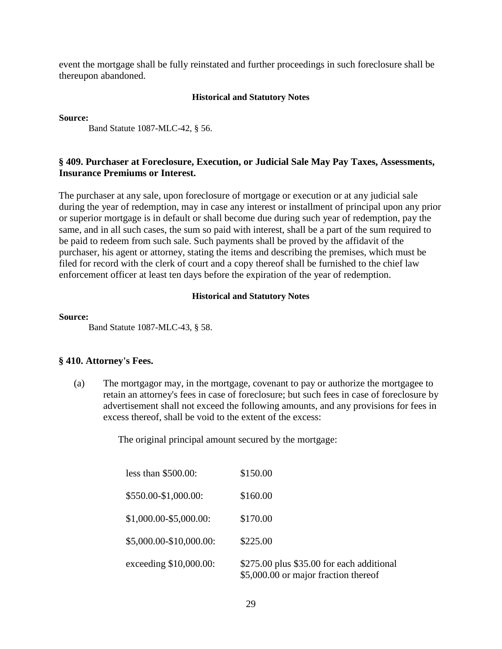event the mortgage shall be fully reinstated and further proceedings in such foreclosure shall be thereupon abandoned.

# **Historical and Statutory Notes**

**Source:** 

Band Statute 1087-MLC-42, § 56.

# **§ 409. Purchaser at Foreclosure, Execution, or Judicial Sale May Pay Taxes, Assessments, Insurance Premiums or Interest.**

The purchaser at any sale, upon foreclosure of mortgage or execution or at any judicial sale during the year of redemption, may in case any interest or installment of principal upon any prior or superior mortgage is in default or shall become due during such year of redemption, pay the same, and in all such cases, the sum so paid with interest, shall be a part of the sum required to be paid to redeem from such sale. Such payments shall be proved by the affidavit of the purchaser, his agent or attorney, stating the items and describing the premises, which must be filed for record with the clerk of court and a copy thereof shall be furnished to the chief law enforcement officer at least ten days before the expiration of the year of redemption.

### **Historical and Statutory Notes**

### **Source:**

Band Statute 1087-MLC-43, § 58.

# **§ 410. Attorney's Fees.**

(a) The mortgagor may, in the mortgage, covenant to pay or authorize the mortgagee to retain an attorney's fees in case of foreclosure; but such fees in case of foreclosure by advertisement shall not exceed the following amounts, and any provisions for fees in excess thereof, shall be void to the extent of the excess:

The original principal amount secured by the mortgage:

| less than $$500.00$ :   | \$150.00                                                                          |
|-------------------------|-----------------------------------------------------------------------------------|
| \$550.00-\$1,000.00:    | \$160.00                                                                          |
| \$1,000.00-\$5,000.00:  | \$170.00                                                                          |
| \$5,000.00-\$10,000.00: | \$225.00                                                                          |
| exceeding \$10,000.00:  | \$275.00 plus \$35.00 for each additional<br>\$5,000.00 or major fraction thereof |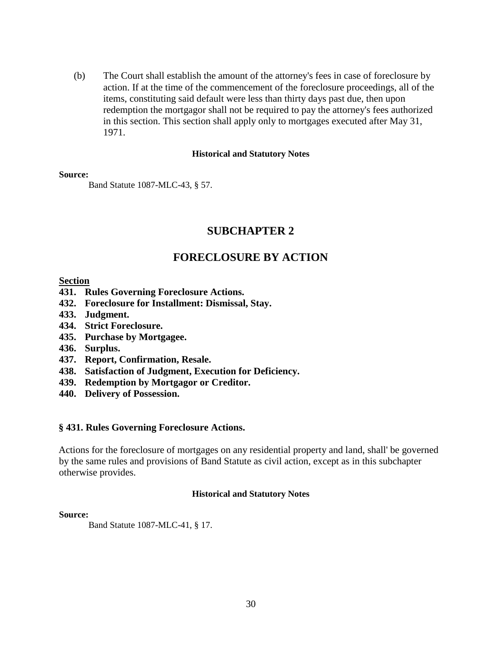(b) The Court shall establish the amount of the attorney's fees in case of foreclosure by action. If at the time of the commencement of the foreclosure proceedings, all of the items, constituting said default were less than thirty days past due, then upon redemption the mortgagor shall not be required to pay the attorney's fees authorized in this section. This section shall apply only to mortgages executed after May 31, 1971.

### **Historical and Statutory Notes**

#### **Source:**

Band Statute 1087-MLC-43, § 57.

# **SUBCHAPTER 2**

# **FORECLOSURE BY ACTION**

# **Section**

- **431. Rules Governing Foreclosure Actions.**
- **432. Foreclosure for Installment: Dismissal, Stay.**
- **433. Judgment.**
- **434. Strict Foreclosure.**
- **435. Purchase by Mortgagee.**
- **436. Surplus.**
- **437. Report, Confirmation, Resale.**
- **438. Satisfaction of Judgment, Execution for Deficiency.**
- **439. Redemption by Mortgagor or Creditor.**
- **440. Delivery of Possession.**

### **§ 431. Rules Governing Foreclosure Actions.**

Actions for the foreclosure of mortgages on any residential property and land, shall' be governed by the same rules and provisions of Band Statute as civil action, except as in this subchapter otherwise provides.

#### **Historical and Statutory Notes**

#### **Source:**

Band Statute 1087-MLC-41, § 17.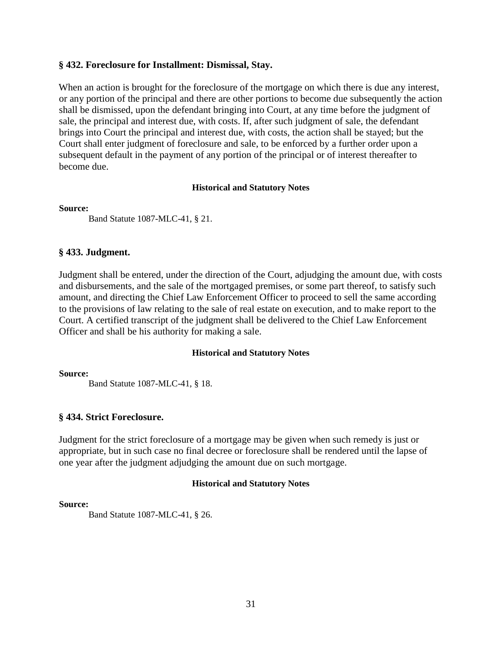# **§ 432. Foreclosure for Installment: Dismissal, Stay.**

When an action is brought for the foreclosure of the mortgage on which there is due any interest, or any portion of the principal and there are other portions to become due subsequently the action shall be dismissed, upon the defendant bringing into Court, at any time before the judgment of sale, the principal and interest due, with costs. If, after such judgment of sale, the defendant brings into Court the principal and interest due, with costs, the action shall be stayed; but the Court shall enter judgment of foreclosure and sale, to be enforced by a further order upon a subsequent default in the payment of any portion of the principal or of interest thereafter to become due.

### **Historical and Statutory Notes**

### **Source:**

Band Statute 1087-MLC-41, § 21.

### **§ 433. Judgment.**

Judgment shall be entered, under the direction of the Court, adjudging the amount due, with costs and disbursements, and the sale of the mortgaged premises, or some part thereof, to satisfy such amount, and directing the Chief Law Enforcement Officer to proceed to sell the same according to the provisions of law relating to the sale of real estate on execution, and to make report to the Court. A certified transcript of the judgment shall be delivered to the Chief Law Enforcement Officer and shall be his authority for making a sale.

### **Historical and Statutory Notes**

### **Source:**

Band Statute 1087-MLC-41, § 18.

# **§ 434. Strict Foreclosure.**

Judgment for the strict foreclosure of a mortgage may be given when such remedy is just or appropriate, but in such case no final decree or foreclosure shall be rendered until the lapse of one year after the judgment adjudging the amount due on such mortgage.

### **Historical and Statutory Notes**

### **Source:**

Band Statute 1087-MLC-41, § 26.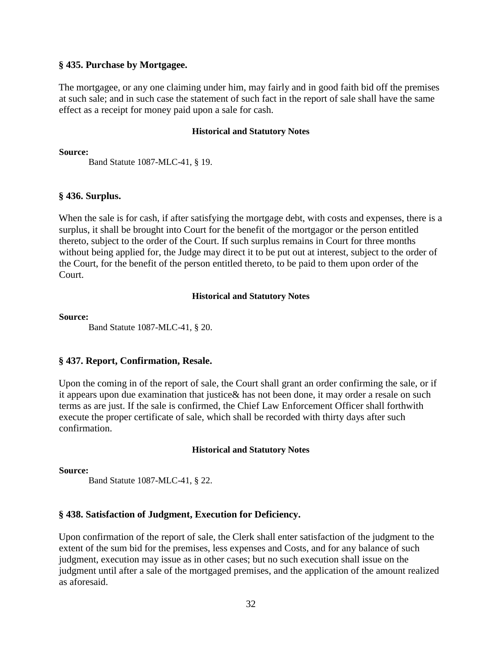# **§ 435. Purchase by Mortgagee.**

The mortgagee, or any one claiming under him, may fairly and in good faith bid off the premises at such sale; and in such case the statement of such fact in the report of sale shall have the same effect as a receipt for money paid upon a sale for cash.

# **Historical and Statutory Notes**

**Source:** 

Band Statute 1087-MLC-41, § 19.

# **§ 436. Surplus.**

When the sale is for cash, if after satisfying the mortgage debt, with costs and expenses, there is a surplus, it shall be brought into Court for the benefit of the mortgagor or the person entitled thereto, subject to the order of the Court. If such surplus remains in Court for three months without being applied for, the Judge may direct it to be put out at interest, subject to the order of the Court, for the benefit of the person entitled thereto, to be paid to them upon order of the Court.

# **Historical and Statutory Notes**

**Source:** 

Band Statute 1087-MLC-41, § 20.

# **§ 437. Report, Confirmation, Resale.**

Upon the coming in of the report of sale, the Court shall grant an order confirming the sale, or if it appears upon due examination that justice& has not been done, it may order a resale on such terms as are just. If the sale is confirmed, the Chief Law Enforcement Officer shall forthwith execute the proper certificate of sale, which shall be recorded with thirty days after such confirmation.

# **Historical and Statutory Notes**

**Source:** 

Band Statute 1087-MLC-41, § 22.

# **§ 438. Satisfaction of Judgment, Execution for Deficiency.**

Upon confirmation of the report of sale, the Clerk shall enter satisfaction of the judgment to the extent of the sum bid for the premises, less expenses and Costs, and for any balance of such judgment, execution may issue as in other cases; but no such execution shall issue on the judgment until after a sale of the mortgaged premises, and the application of the amount realized as aforesaid.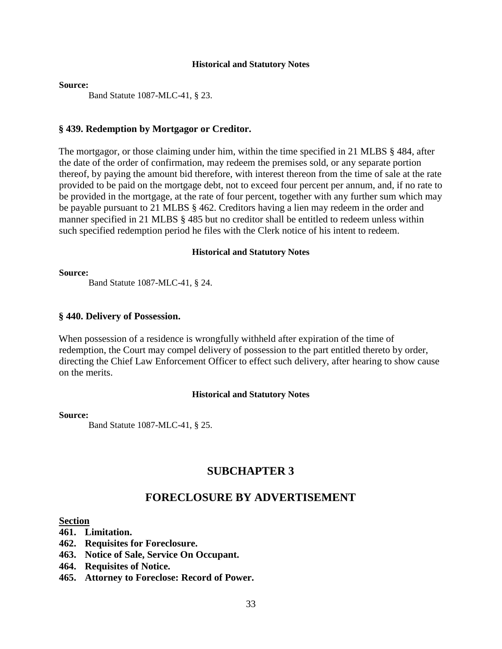#### **Source:**

Band Statute 1087-MLC-41, § 23.

### **§ 439. Redemption by Mortgagor or Creditor.**

The mortgagor, or those claiming under him, within the time specified in 21 MLBS § 484, after the date of the order of confirmation, may redeem the premises sold, or any separate portion thereof, by paying the amount bid therefore, with interest thereon from the time of sale at the rate provided to be paid on the mortgage debt, not to exceed four percent per annum, and, if no rate to be provided in the mortgage, at the rate of four percent, together with any further sum which may be payable pursuant to 21 MLBS § 462. Creditors having a lien may redeem in the order and manner specified in 21 MLBS § 485 but no creditor shall be entitled to redeem unless within such specified redemption period he files with the Clerk notice of his intent to redeem.

# **Historical and Statutory Notes**

**Source:**

Band Statute 1087-MLC-41, § 24.

### **§ 440. Delivery of Possession.**

When possession of a residence is wrongfully withheld after expiration of the time of redemption, the Court may compel delivery of possession to the part entitled thereto by order, directing the Chief Law Enforcement Officer to effect such delivery, after hearing to show cause on the merits.

#### **Historical and Statutory Notes**

#### **Source:**

Band Statute 1087-MLC-41, § 25.

# **SUBCHAPTER 3**

# **FORECLOSURE BY ADVERTISEMENT**

#### **Section**

- **461. Limitation.**
- **462. Requisites for Foreclosure.**
- **463. Notice of Sale, Service On Occupant.**
- **464. Requisites of Notice.**
- **465. Attorney to Foreclose: Record of Power.**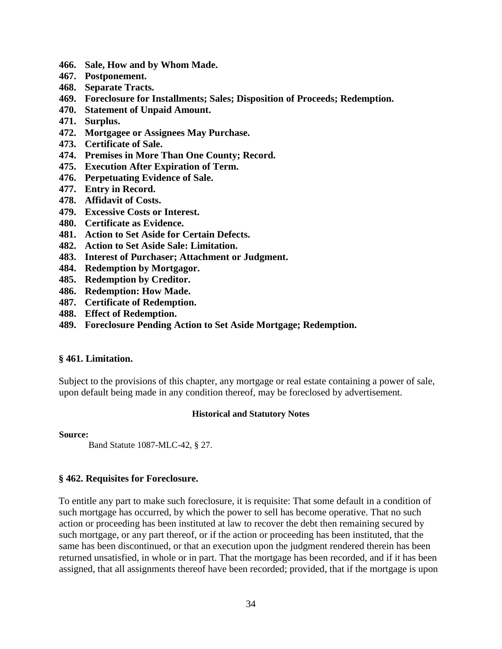- **466. Sale, How and by Whom Made.**
- **467. Postponement.**
- **468. Separate Tracts.**
- **469. Foreclosure for Installments; Sales; Disposition of Proceeds; Redemption.**
- **470. Statement of Unpaid Amount.**
- **471. Surplus.**
- **472. Mortgagee or Assignees May Purchase.**
- **473. Certificate of Sale.**
- **474. Premises in More Than One County; Record.**
- **475. Execution After Expiration of Term.**
- **476. Perpetuating Evidence of Sale.**
- **477. Entry in Record.**
- **478. Affidavit of Costs.**
- **479. Excessive Costs or Interest.**
- **480. Certificate as Evidence.**
- **481. Action to Set Aside for Certain Defects.**
- **482. Action to Set Aside Sale: Limitation.**
- **483. Interest of Purchaser; Attachment or Judgment.**
- **484. Redemption by Mortgagor.**
- **485. Redemption by Creditor.**
- **486. Redemption: How Made.**
- **487. Certificate of Redemption.**
- **488. Effect of Redemption.**
- **489. Foreclosure Pending Action to Set Aside Mortgage; Redemption.**

# **§ 461. Limitation.**

Subject to the provisions of this chapter, any mortgage or real estate containing a power of sale, upon default being made in any condition thereof, may be foreclosed by advertisement.

# **Historical and Statutory Notes**

**Source:** 

Band Statute 1087-MLC-42, § 27.

# **§ 462. Requisites for Foreclosure.**

To entitle any part to make such foreclosure, it is requisite: That some default in a condition of such mortgage has occurred, by which the power to sell has become operative. That no such action or proceeding has been instituted at law to recover the debt then remaining secured by such mortgage, or any part thereof, or if the action or proceeding has been instituted, that the same has been discontinued, or that an execution upon the judgment rendered therein has been returned unsatisfied, in whole or in part. That the mortgage has been recorded, and if it has been assigned, that all assignments thereof have been recorded; provided, that if the mortgage is upon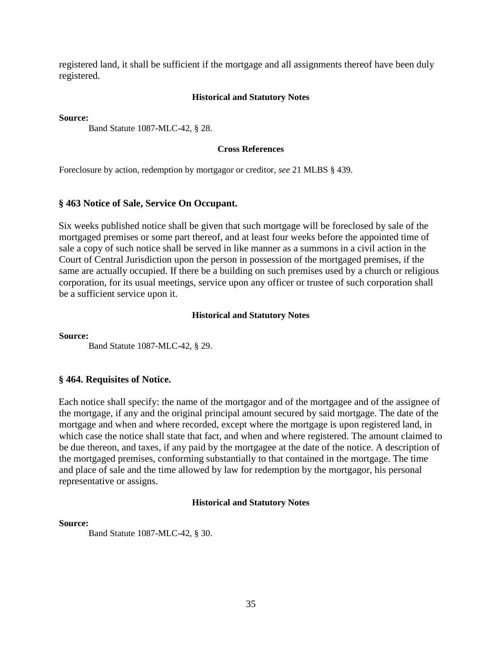registered land, it shall be sufficient if the mortgage and all assignments thereof have been duly registered.

# **Historical and Statutory Notes**

**Source:** 

Band Statute 1087-MLC-42, § 28.

### **Cross References**

Foreclosure by action, redemption by mortgagor or creditor, *see* 21 MLBS § 439.

# **§ 463 Notice of Sale, Service On Occupant.**

Six weeks published notice shall be given that such mortgage will be foreclosed by sale of the mortgaged premises or some part thereof, and at least four weeks before the appointed time of sale a copy of such notice shall be served in like manner as a summons in a civil action in the Court of Central Jurisdiction upon the person in possession of the mortgaged premises, if the same are actually occupied. If there be a building on such premises used by a church or religious corporation, for its usual meetings, service upon any officer or trustee of such corporation shall be a sufficient service upon it.

# **Historical and Statutory Notes**

**Source:** 

Band Statute 1087-MLC-42, § 29.

# **§ 464. Requisites of Notice.**

Each notice shall specify: the name of the mortgagor and of the mortgagee and of the assignee of the mortgage, if any and the original principal amount secured by said mortgage. The date of the mortgage and when and where recorded, except where the mortgage is upon registered land, in which case the notice shall state that fact, and when and where registered. The amount claimed to be due thereon, and taxes, if any paid by the mortgagee at the date of the notice. A description of the mortgaged premises, conforming substantially to that contained in the mortgage. The time and place of sale and the time allowed by law for redemption by the mortgagor, his personal representative or assigns.

# **Historical and Statutory Notes**

# **Source:**

Band Statute 1087-MLC-42, § 30.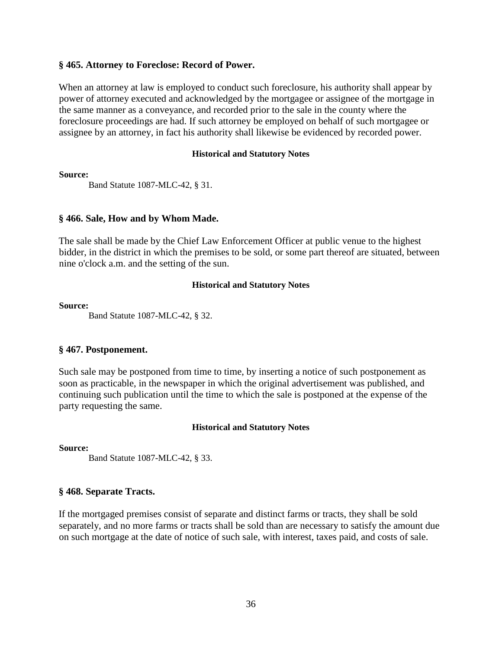# **§ 465. Attorney to Foreclose: Record of Power.**

When an attorney at law is employed to conduct such foreclosure, his authority shall appear by power of attorney executed and acknowledged by the mortgagee or assignee of the mortgage in the same manner as a conveyance, and recorded prior to the sale in the county where the foreclosure proceedings are had. If such attorney be employed on behalf of such mortgagee or assignee by an attorney, in fact his authority shall likewise be evidenced by recorded power.

# **Historical and Statutory Notes**

**Source:** 

Band Statute 1087-MLC-42, § 31.

# **§ 466. Sale, How and by Whom Made.**

The sale shall be made by the Chief Law Enforcement Officer at public venue to the highest bidder, in the district in which the premises to be sold, or some part thereof are situated, between nine o'clock a.m. and the setting of the sun.

# **Historical and Statutory Notes**

### **Source:**

Band Statute 1087-MLC-42, § 32.

# **§ 467. Postponement.**

Such sale may be postponed from time to time, by inserting a notice of such postponement as soon as practicable, in the newspaper in which the original advertisement was published, and continuing such publication until the time to which the sale is postponed at the expense of the party requesting the same.

# **Historical and Statutory Notes**

**Source:** 

Band Statute 1087-MLC-42, § 33.

# **§ 468. Separate Tracts.**

If the mortgaged premises consist of separate and distinct farms or tracts, they shall be sold separately, and no more farms or tracts shall be sold than are necessary to satisfy the amount due on such mortgage at the date of notice of such sale, with interest, taxes paid, and costs of sale.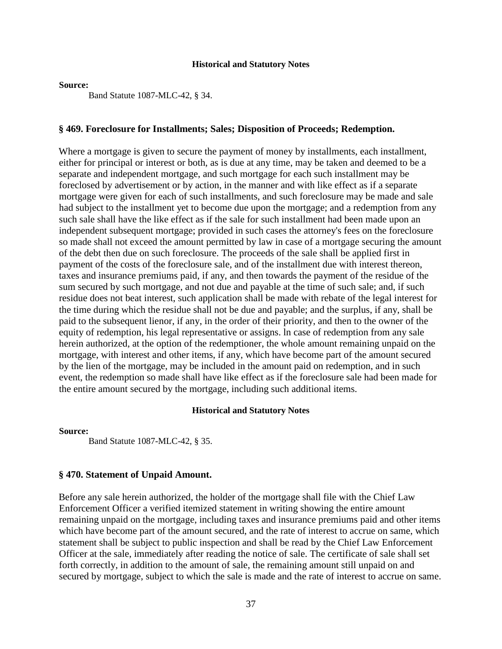#### **Source:**

Band Statute 1087-MLC-42, § 34.

### **§ 469. Foreclosure for Installments; Sales; Disposition of Proceeds; Redemption.**

Where a mortgage is given to secure the payment of money by installments, each installment, either for principal or interest or both, as is due at any time, may be taken and deemed to be a separate and independent mortgage, and such mortgage for each such installment may be foreclosed by advertisement or by action, in the manner and with like effect as if a separate mortgage were given for each of such installments, and such foreclosure may be made and sale had subject to the installment yet to become due upon the mortgage; and a redemption from any such sale shall have the like effect as if the sale for such installment had been made upon an independent subsequent mortgage; provided in such cases the attorney's fees on the foreclosure so made shall not exceed the amount permitted by law in case of a mortgage securing the amount of the debt then due on such foreclosure. The proceeds of the sale shall be applied first in payment of the costs of the foreclosure sale, and of the installment due with interest thereon, taxes and insurance premiums paid, if any, and then towards the payment of the residue of the sum secured by such mortgage, and not due and payable at the time of such sale; and, if such residue does not beat interest, such application shall be made with rebate of the legal interest for the time during which the residue shall not be due and payable; and the surplus, if any, shall be paid to the subsequent lienor, if any, in the order of their priority, and then to the owner of the equity of redemption, his legal representative or assigns. ln case of redemption from any sale herein authorized, at the option of the redemptioner, the whole amount remaining unpaid on the mortgage, with interest and other items, if any, which have become part of the amount secured by the lien of the mortgage, may be included in the amount paid on redemption, and in such event, the redemption so made shall have like effect as if the foreclosure sale had been made for the entire amount secured by the mortgage, including such additional items.

# **Historical and Statutory Notes**

#### **Source:**

Band Statute 1087-MLC-42, § 35.

# **§ 470. Statement of Unpaid Amount.**

Before any sale herein authorized, the holder of the mortgage shall file with the Chief Law Enforcement Officer a verified itemized statement in writing showing the entire amount remaining unpaid on the mortgage, including taxes and insurance premiums paid and other items which have become part of the amount secured, and the rate of interest to accrue on same, which statement shall be subject to public inspection and shall be read by the Chief Law Enforcement Officer at the sale, immediately after reading the notice of sale. The certificate of sale shall set forth correctly, in addition to the amount of sale, the remaining amount still unpaid on and secured by mortgage, subject to which the sale is made and the rate of interest to accrue on same.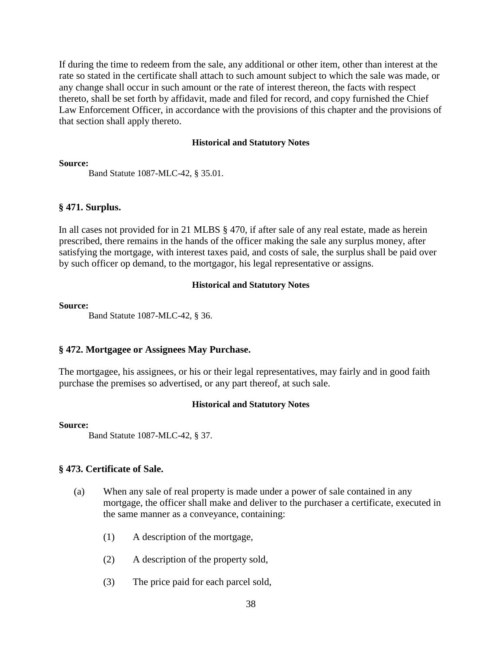If during the time to redeem from the sale, any additional or other item, other than interest at the rate so stated in the certificate shall attach to such amount subject to which the sale was made, or any change shall occur in such amount or the rate of interest thereon, the facts with respect thereto, shall be set forth by affidavit, made and filed for record, and copy furnished the Chief Law Enforcement Officer, in accordance with the provisions of this chapter and the provisions of that section shall apply thereto.

# **Historical and Statutory Notes**

### **Source:**

Band Statute 1087-MLC-42, § 35.01.

# **§ 471. Surplus.**

In all cases not provided for in 21 MLBS § 470, if after sale of any real estate, made as herein prescribed, there remains in the hands of the officer making the sale any surplus money, after satisfying the mortgage, with interest taxes paid, and costs of sale, the surplus shall be paid over by such officer op demand, to the mortgagor, his legal representative or assigns.

# **Historical and Statutory Notes**

# **Source:**

Band Statute 1087-MLC-42, § 36.

# **§ 472. Mortgagee or Assignees May Purchase.**

The mortgagee, his assignees, or his or their legal representatives, may fairly and in good faith purchase the premises so advertised, or any part thereof, at such sale.

# **Historical and Statutory Notes**

# **Source:**

Band Statute 1087-MLC-42, § 37.

# **§ 473. Certificate of Sale.**

- (a) When any sale of real property is made under a power of sale contained in any mortgage, the officer shall make and deliver to the purchaser a certificate, executed in the same manner as a conveyance, containing:
	- (1) A description of the mortgage,
	- (2) A description of the property sold,
	- (3) The price paid for each parcel sold,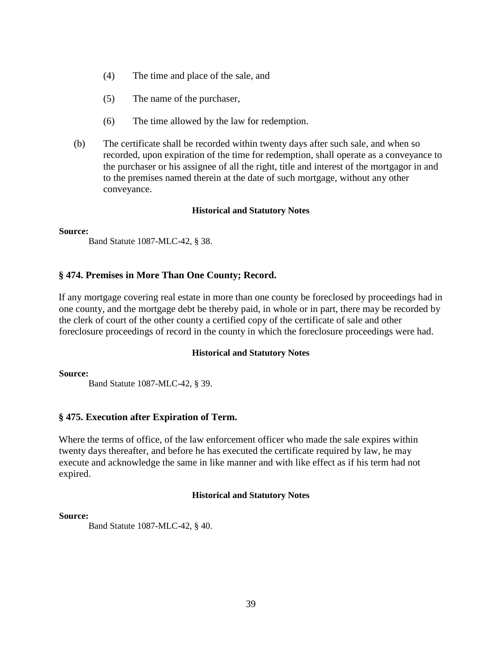- (4) The time and place of the sale, and
- (5) The name of the purchaser,
- (6) The time allowed by the law for redemption.
- (b) The certificate shall be recorded within twenty days after such sale, and when so recorded, upon expiration of the time for redemption, shall operate as a conveyance to the purchaser or his assignee of all the right, title and interest of the mortgagor in and to the premises named therein at the date of such mortgage, without any other conveyance.

### **Source:**

Band Statute 1087-MLC-42, § 38.

# **§ 474. Premises in More Than One County; Record.**

If any mortgage covering real estate in more than one county be foreclosed by proceedings had in one county, and the mortgage debt be thereby paid, in whole or in part, there may be recorded by the clerk of court of the other county a certified copy of the certificate of sale and other foreclosure proceedings of record in the county in which the foreclosure proceedings were had.

# **Historical and Statutory Notes**

**Source:** 

Band Statute 1087-MLC-42, § 39.

# **§ 475. Execution after Expiration of Term.**

Where the terms of office, of the law enforcement officer who made the sale expires within twenty days thereafter, and before he has executed the certificate required by law, he may execute and acknowledge the same in like manner and with like effect as if his term had not expired.

# **Historical and Statutory Notes**

### **Source:**

Band Statute 1087-MLC-42, § 40.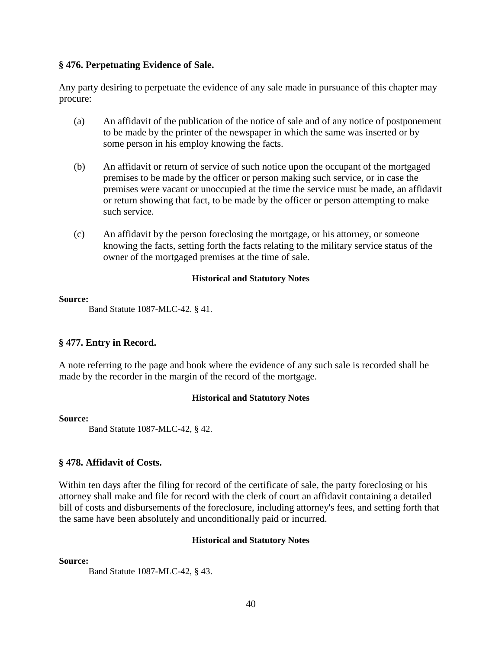# **§ 476. Perpetuating Evidence of Sale.**

Any party desiring to perpetuate the evidence of any sale made in pursuance of this chapter may procure:

- (a) An affidavit of the publication of the notice of sale and of any notice of postponement to be made by the printer of the newspaper in which the same was inserted or by some person in his employ knowing the facts.
- (b) An affidavit or return of service of such notice upon the occupant of the mortgaged premises to be made by the officer or person making such service, or in case the premises were vacant or unoccupied at the time the service must be made, an affidavit or return showing that fact, to be made by the officer or person attempting to make such service.
- (c) An affidavit by the person foreclosing the mortgage, or his attorney, or someone knowing the facts, setting forth the facts relating to the military service status of the owner of the mortgaged premises at the time of sale.

# **Historical and Statutory Notes**

# **Source:**

Band Statute 1087-MLC-42. § 41.

# **§ 477. Entry in Record.**

A note referring to the page and book where the evidence of any such sale is recorded shall be made by the recorder in the margin of the record of the mortgage.

# **Historical and Statutory Notes**

# **Source:**

Band Statute 1087-MLC-42, § 42.

# **§ 478. Affidavit of Costs.**

Within ten days after the filing for record of the certificate of sale, the party foreclosing or his attorney shall make and file for record with the clerk of court an affidavit containing a detailed bill of costs and disbursements of the foreclosure, including attorney's fees, and setting forth that the same have been absolutely and unconditionally paid or incurred.

# **Historical and Statutory Notes**

# **Source:**

Band Statute 1087-MLC-42, § 43.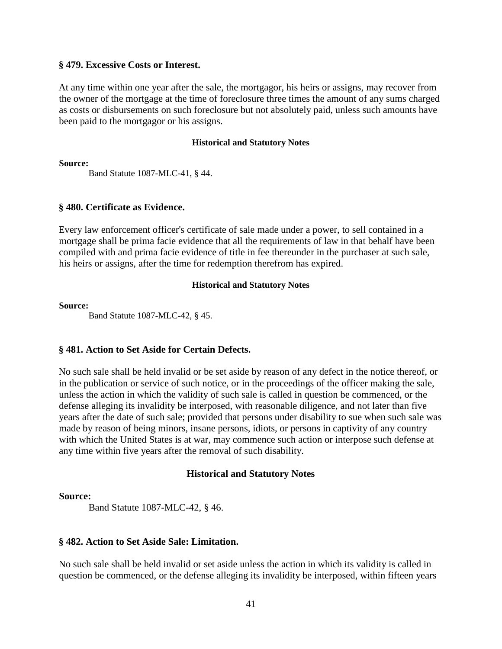### **§ 479. Excessive Costs or Interest.**

At any time within one year after the sale, the mortgagor, his heirs or assigns, may recover from the owner of the mortgage at the time of foreclosure three times the amount of any sums charged as costs or disbursements on such foreclosure but not absolutely paid, unless such amounts have been paid to the mortgagor or his assigns.

### **Historical and Statutory Notes**

**Source:** 

Band Statute 1087-MLC-41, § 44.

### **§ 480. Certificate as Evidence.**

Every law enforcement officer's certificate of sale made under a power, to sell contained in a mortgage shall be prima facie evidence that all the requirements of law in that behalf have been compiled with and prima facie evidence of title in fee thereunder in the purchaser at such sale, his heirs or assigns, after the time for redemption therefrom has expired.

### **Historical and Statutory Notes**

### **Source:**

Band Statute 1087-MLC-42, § 45.

# **§ 481. Action to Set Aside for Certain Defects.**

No such sale shall be held invalid or be set aside by reason of any defect in the notice thereof, or in the publication or service of such notice, or in the proceedings of the officer making the sale, unless the action in which the validity of such sale is called in question be commenced, or the defense alleging its invalidity be interposed, with reasonable diligence, and not later than five years after the date of such sale; provided that persons under disability to sue when such sale was made by reason of being minors, insane persons, idiots, or persons in captivity of any country with which the United States is at war, may commence such action or interpose such defense at any time within five years after the removal of such disability.

# **Historical and Statutory Notes**

### **Source:**

Band Statute 1087-MLC-42, § 46.

# **§ 482. Action to Set Aside Sale: Limitation.**

No such sale shall be held invalid or set aside unless the action in which its validity is called in question be commenced, or the defense alleging its invalidity be interposed, within fifteen years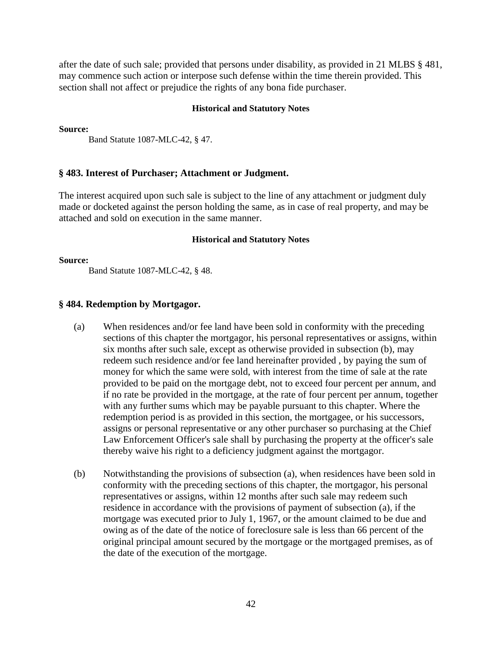after the date of such sale; provided that persons under disability, as provided in 21 MLBS § 481, may commence such action or interpose such defense within the time therein provided. This section shall not affect or prejudice the rights of any bona fide purchaser.

# **Historical and Statutory Notes**

**Source:** 

Band Statute 1087-MLC-42, § 47.

# **§ 483. Interest of Purchaser; Attachment or Judgment.**

The interest acquired upon such sale is subject to the line of any attachment or judgment duly made or docketed against the person holding the same, as in case of real property, and may be attached and sold on execution in the same manner.

# **Historical and Statutory Notes**

### **Source:**

Band Statute 1087-MLC-42, § 48.

# **§ 484. Redemption by Mortgagor.**

- (a) When residences and/or fee land have been sold in conformity with the preceding sections of this chapter the mortgagor, his personal representatives or assigns, within six months after such sale, except as otherwise provided in subsection (b), may redeem such residence and/or fee land hereinafter provided , by paying the sum of money for which the same were sold, with interest from the time of sale at the rate provided to be paid on the mortgage debt, not to exceed four percent per annum, and if no rate be provided in the mortgage, at the rate of four percent per annum, together with any further sums which may be payable pursuant to this chapter. Where the redemption period is as provided in this section, the mortgagee, or his successors, assigns or personal representative or any other purchaser so purchasing at the Chief Law Enforcement Officer's sale shall by purchasing the property at the officer's sale thereby waive his right to a deficiency judgment against the mortgagor.
- (b) Notwithstanding the provisions of subsection (a), when residences have been sold in conformity with the preceding sections of this chapter, the mortgagor, his personal representatives or assigns, within 12 months after such sale may redeem such residence in accordance with the provisions of payment of subsection (a), if the mortgage was executed prior to July 1, 1967, or the amount claimed to be due and owing as of the date of the notice of foreclosure sale is less than 66 percent of the original principal amount secured by the mortgage or the mortgaged premises, as of the date of the execution of the mortgage.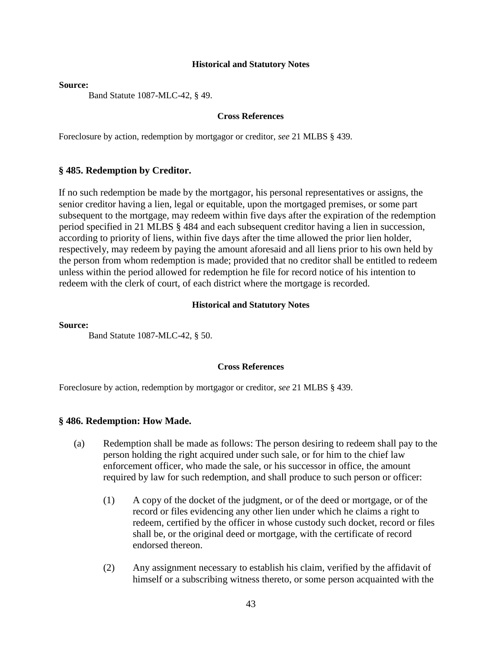**Source:** 

Band Statute 1087-MLC-42, § 49.

### **Cross References**

Foreclosure by action, redemption by mortgagor or creditor, *see* 21 MLBS § 439.

### **§ 485. Redemption by Creditor.**

If no such redemption be made by the mortgagor, his personal representatives or assigns, the senior creditor having a lien, legal or equitable, upon the mortgaged premises, or some part subsequent to the mortgage, may redeem within five days after the expiration of the redemption period specified in 21 MLBS § 484 and each subsequent creditor having a lien in succession, according to priority of liens, within five days after the time allowed the prior lien holder, respectively, may redeem by paying the amount aforesaid and all liens prior to his own held by the person from whom redemption is made; provided that no creditor shall be entitled to redeem unless within the period allowed for redemption he file for record notice of his intention to redeem with the clerk of court, of each district where the mortgage is recorded.

### **Historical and Statutory Notes**

**Source:** 

Band Statute 1087-MLC-42, § 50.

# **Cross References**

Foreclosure by action, redemption by mortgagor or creditor, *see* 21 MLBS § 439.

### **§ 486. Redemption: How Made.**

- (a) Redemption shall be made as follows: The person desiring to redeem shall pay to the person holding the right acquired under such sale, or for him to the chief law enforcement officer, who made the sale, or his successor in office, the amount required by law for such redemption, and shall produce to such person or officer:
	- (1) A copy of the docket of the judgment, or of the deed or mortgage, or of the record or files evidencing any other lien under which he claims a right to redeem, certified by the officer in whose custody such docket, record or files shall be, or the original deed or mortgage, with the certificate of record endorsed thereon.
	- (2) Any assignment necessary to establish his claim, verified by the affidavit of himself or a subscribing witness thereto, or some person acquainted with the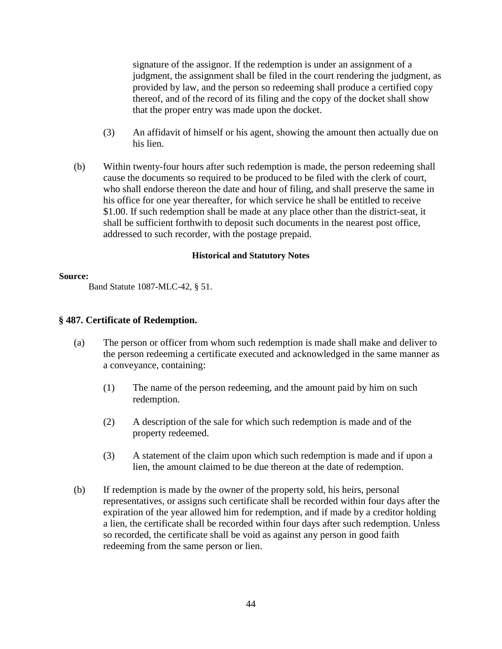signature of the assignor. If the redemption is under an assignment of a judgment, the assignment shall be filed in the court rendering the judgment, as provided by law, and the person so redeeming shall produce a certified copy thereof, and of the record of its filing and the copy of the docket shall show that the proper entry was made upon the docket.

- (3) An affidavit of himself or his agent, showing the amount then actually due on his lien.
- (b) Within twenty-four hours after such redemption is made, the person redeeming shall cause the documents so required to be produced to be filed with the clerk of court, who shall endorse thereon the date and hour of filing, and shall preserve the same in his office for one year thereafter, for which service he shall be entitled to receive \$1.00. If such redemption shall be made at any place other than the district-seat, it shall be sufficient forthwith to deposit such documents in the nearest post office, addressed to such recorder, with the postage prepaid.

# **Historical and Statutory Notes**

### **Source:**

Band Statute 1087-MLC-42, § 51.

# **§ 487. Certificate of Redemption.**

- (a) The person or officer from whom such redemption is made shall make and deliver to the person redeeming a certificate executed and acknowledged in the same manner as a conveyance, containing:
	- (1) The name of the person redeeming, and the amount paid by him on such redemption.
	- (2) A description of the sale for which such redemption is made and of the property redeemed.
	- (3) A statement of the claim upon which such redemption is made and if upon a lien, the amount claimed to be due thereon at the date of redemption.
- (b) If redemption is made by the owner of the property sold, his heirs, personal representatives, or assigns such certificate shall be recorded within four days after the expiration of the year allowed him for redemption, and if made by a creditor holding a lien, the certificate shall be recorded within four days after such redemption. Unless so recorded, the certificate shall be void as against any person in good faith redeeming from the same person or lien.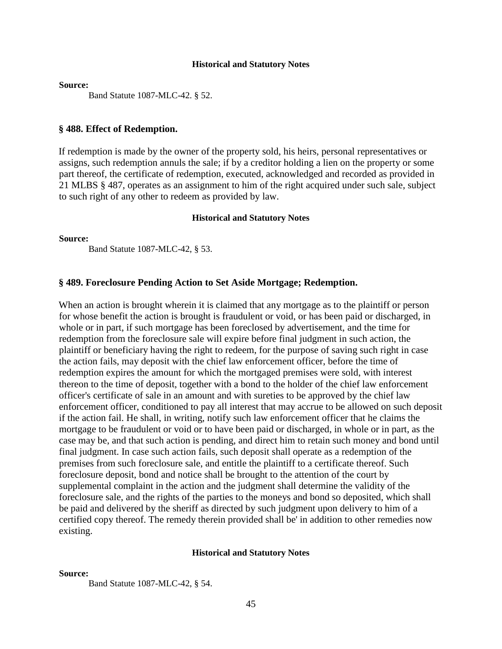**Source:** 

Band Statute 1087-MLC-42. § 52.

### **§ 488. Effect of Redemption.**

If redemption is made by the owner of the property sold, his heirs, personal representatives or assigns, such redemption annuls the sale; if by a creditor holding a lien on the property or some part thereof, the certificate of redemption, executed, acknowledged and recorded as provided in 21 MLBS § 487, operates as an assignment to him of the right acquired under such sale, subject to such right of any other to redeem as provided by law.

### **Historical and Statutory Notes**

**Source:**

Band Statute 1087-MLC-42, § 53.

### **§ 489. Foreclosure Pending Action to Set Aside Mortgage; Redemption.**

When an action is brought wherein it is claimed that any mortgage as to the plaintiff or person for whose benefit the action is brought is fraudulent or void, or has been paid or discharged, in whole or in part, if such mortgage has been foreclosed by advertisement, and the time for redemption from the foreclosure sale will expire before final judgment in such action, the plaintiff or beneficiary having the right to redeem, for the purpose of saving such right in case the action fails, may deposit with the chief law enforcement officer, before the time of redemption expires the amount for which the mortgaged premises were sold, with interest thereon to the time of deposit, together with a bond to the holder of the chief law enforcement officer's certificate of sale in an amount and with sureties to be approved by the chief law enforcement officer, conditioned to pay all interest that may accrue to be allowed on such deposit if the action fail. He shall, in writing, notify such law enforcement officer that he claims the mortgage to be fraudulent or void or to have been paid or discharged, in whole or in part, as the case may be, and that such action is pending, and direct him to retain such money and bond until final judgment. In case such action fails, such deposit shall operate as a redemption of the premises from such foreclosure sale, and entitle the plaintiff to a certificate thereof. Such foreclosure deposit, bond and notice shall be brought to the attention of the court by supplemental complaint in the action and the judgment shall determine the validity of the foreclosure sale, and the rights of the parties to the moneys and bond so deposited, which shall be paid and delivered by the sheriff as directed by such judgment upon delivery to him of a certified copy thereof. The remedy therein provided shall be' in addition to other remedies now existing.

#### **Historical and Statutory Notes**

#### **Source:**

Band Statute 1087-MLC-42, § 54.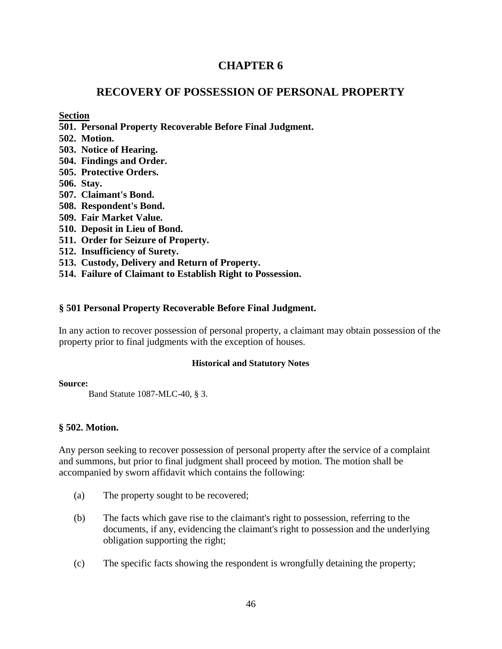# **CHAPTER 6**

# **RECOVERY OF POSSESSION OF PERSONAL PROPERTY**

# **Section**

- **501. Personal Property Recoverable Before Final Judgment.**
- **502. Motion.**
- **503. Notice of Hearing.**
- **504. Findings and Order.**
- **505. Protective Orders.**
- **506. Stay.**
- **507. Claimant's Bond.**
- **508. Respondent's Bond.**
- **509. Fair Market Value.**
- **510. Deposit in Lieu of Bond.**
- **511. Order for Seizure of Property.**
- **512. Insufficiency of Surety.**
- **513. Custody, Delivery and Return of Property.**
- **514. Failure of Claimant to Establish Right to Possession.**

# **§ 501 Personal Property Recoverable Before Final Judgment.**

In any action to recover possession of personal property, a claimant may obtain possession of the property prior to final judgments with the exception of houses.

# **Historical and Statutory Notes**

# **Source:**

Band Statute 1087-MLC-40, § 3.

# **§ 502. Motion.**

Any person seeking to recover possession of personal property after the service of a complaint and summons, but prior to final judgment shall proceed by motion. The motion shall be accompanied by sworn affidavit which contains the following:

- (a) The property sought to be recovered;
- (b) The facts which gave rise to the claimant's right to possession, referring to the documents, if any, evidencing the claimant's right to possession and the underlying obligation supporting the right;
- (c) The specific facts showing the respondent is wrongfully detaining the property;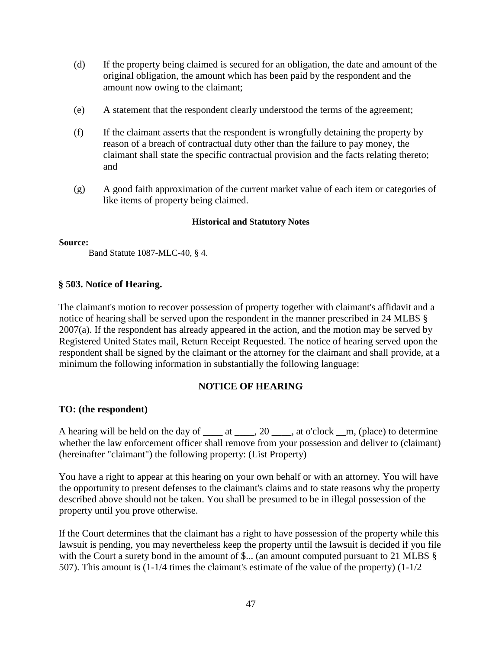- (d) If the property being claimed is secured for an obligation, the date and amount of the original obligation, the amount which has been paid by the respondent and the amount now owing to the claimant;
- (e) A statement that the respondent clearly understood the terms of the agreement;
- (f) If the claimant asserts that the respondent is wrongfully detaining the property by reason of a breach of contractual duty other than the failure to pay money, the claimant shall state the specific contractual provision and the facts relating thereto; and
- (g) A good faith approximation of the current market value of each item or categories of like items of property being claimed.

# **Source:**

Band Statute 1087-MLC-40, § 4.

# **§ 503. Notice of Hearing.**

The claimant's motion to recover possession of property together with claimant's affidavit and a notice of hearing shall be served upon the respondent in the manner prescribed in 24 MLBS  $\S$ 2007(a). If the respondent has already appeared in the action, and the motion may be served by Registered United States mail, Return Receipt Requested. The notice of hearing served upon the respondent shall be signed by the claimant or the attorney for the claimant and shall provide, at a minimum the following information in substantially the following language:

# **NOTICE OF HEARING**

# **TO: (the respondent)**

A hearing will be held on the day of  $\_\_\_\_\_\_$ ,  $20 \_\_\_\_\_\_$  at o'clock  $\_\_\_\_\_\_\_\_$  (place) to determine whether the law enforcement officer shall remove from your possession and deliver to (claimant) (hereinafter "claimant") the following property: (List Property)

You have a right to appear at this hearing on your own behalf or with an attorney. You will have the opportunity to present defenses to the claimant's claims and to state reasons why the property described above should not be taken. You shall be presumed to be in illegal possession of the property until you prove otherwise.

If the Court determines that the claimant has a right to have possession of the property while this lawsuit is pending, you may nevertheless keep the property until the lawsuit is decided if you file with the Court a surety bond in the amount of \$... (an amount computed pursuant to 21 MLBS § 507). This amount is (1-1/4 times the claimant's estimate of the value of the property) (1-1/2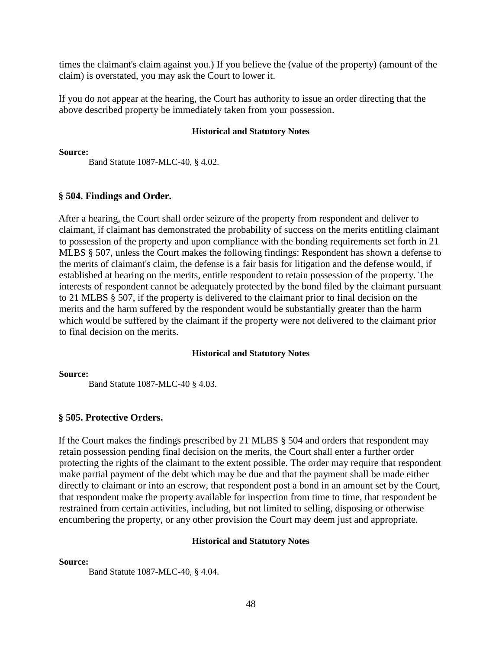times the claimant's claim against you.) If you believe the (value of the property) (amount of the claim) is overstated, you may ask the Court to lower it.

If you do not appear at the hearing, the Court has authority to issue an order directing that the above described property be immediately taken from your possession.

# **Historical and Statutory Notes**

**Source:** 

Band Statute 1087-MLC-40, § 4.02.

# **§ 504. Findings and Order.**

After a hearing, the Court shall order seizure of the property from respondent and deliver to claimant, if claimant has demonstrated the probability of success on the merits entitling claimant to possession of the property and upon compliance with the bonding requirements set forth in 21 MLBS § 507, unless the Court makes the following findings: Respondent has shown a defense to the merits of claimant's claim, the defense is a fair basis for litigation and the defense would, if established at hearing on the merits, entitle respondent to retain possession of the property. The interests of respondent cannot be adequately protected by the bond filed by the claimant pursuant to 21 MLBS § 507, if the property is delivered to the claimant prior to final decision on the merits and the harm suffered by the respondent would be substantially greater than the harm which would be suffered by the claimant if the property were not delivered to the claimant prior to final decision on the merits.

### **Historical and Statutory Notes**

**Source:** 

Band Statute 1087-MLC-40 § 4.03.

# **§ 505. Protective Orders.**

If the Court makes the findings prescribed by 21 MLBS § 504 and orders that respondent may retain possession pending final decision on the merits, the Court shall enter a further order protecting the rights of the claimant to the extent possible. The order may require that respondent make partial payment of the debt which may be due and that the payment shall be made either directly to claimant or into an escrow, that respondent post a bond in an amount set by the Court, that respondent make the property available for inspection from time to time, that respondent be restrained from certain activities, including, but not limited to selling, disposing or otherwise encumbering the property, or any other provision the Court may deem just and appropriate.

### **Historical and Statutory Notes**

### **Source:**

Band Statute 1087-MLC-40, § 4.04.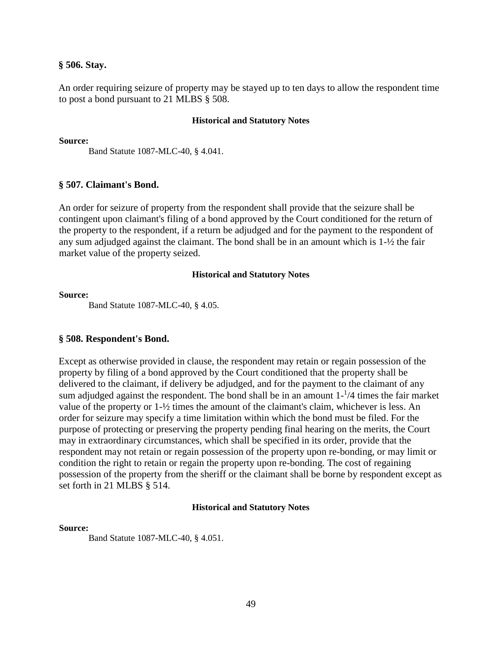### **§ 506. Stay.**

An order requiring seizure of property may be stayed up to ten days to allow the respondent time to post a bond pursuant to 21 MLBS § 508.

#### **Historical and Statutory Notes**

#### **Source:**

Band Statute 1087-MLC-40, § 4.041.

### **§ 507. Claimant's Bond.**

An order for seizure of property from the respondent shall provide that the seizure shall be contingent upon claimant's filing of a bond approved by the Court conditioned for the return of the property to the respondent, if a return be adjudged and for the payment to the respondent of any sum adjudged against the claimant. The bond shall be in an amount which is 1-½ the fair market value of the property seized.

#### **Historical and Statutory Notes**

#### **Source:**

Band Statute 1087-MLC-40, § 4.05.

### **§ 508. Respondent's Bond.**

Except as otherwise provided in clause, the respondent may retain or regain possession of the property by filing of a bond approved by the Court conditioned that the property shall be delivered to the claimant, if delivery be adjudged, and for the payment to the claimant of any sum adjudged against the respondent. The bond shall be in an amount  $1<sup>-1</sup>/4$  times the fair market value of the property or 1-½ times the amount of the claimant's claim, whichever is less. An order for seizure may specify a time limitation within which the bond must be filed. For the purpose of protecting or preserving the property pending final hearing on the merits, the Court may in extraordinary circumstances, which shall be specified in its order, provide that the respondent may not retain or regain possession of the property upon re-bonding, or may limit or condition the right to retain or regain the property upon re-bonding. The cost of regaining possession of the property from the sheriff or the claimant shall be borne by respondent except as set forth in 21 MLBS § 514.

### **Historical and Statutory Notes**

### **Source:**

Band Statute 1087-MLC-40, § 4.051.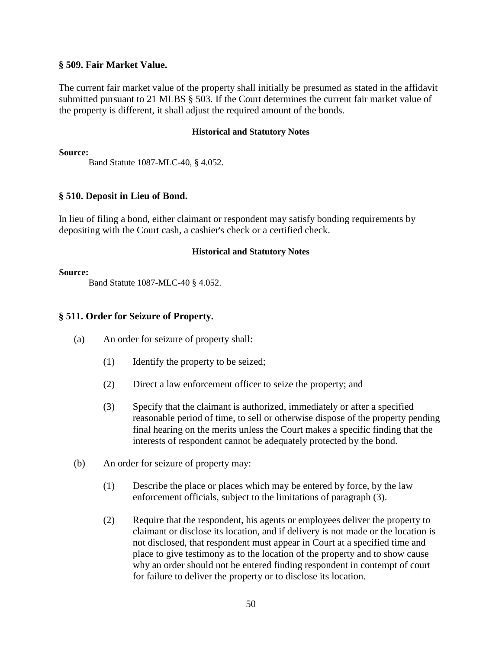# **§ 509. Fair Market Value.**

The current fair market value of the property shall initially be presumed as stated in the affidavit submitted pursuant to 21 MLBS § 503. If the Court determines the current fair market value of the property is different, it shall adjust the required amount of the bonds.

# **Historical and Statutory Notes**

# **Source:**

Band Statute 1087-MLC-40, § 4.052.

# **§ 510. Deposit in Lieu of Bond.**

In lieu of filing a bond, either claimant or respondent may satisfy bonding requirements by depositing with the Court cash, a cashier's check or a certified check.

# **Historical and Statutory Notes**

# **Source:**

Band Statute 1087-MLC-40 § 4.052.

# **§ 511. Order for Seizure of Property.**

- (a) An order for seizure of property shall:
	- (1) Identify the property to be seized;
	- (2) Direct a law enforcement officer to seize the property; and
	- (3) Specify that the claimant is authorized, immediately or after a specified reasonable period of time, to sell or otherwise dispose of the property pending final hearing on the merits unless the Court makes a specific finding that the interests of respondent cannot be adequately protected by the bond.
- (b) An order for seizure of property may:
	- (1) Describe the place or places which may be entered by force, by the law enforcement officials, subject to the limitations of paragraph (3).
	- (2) Require that the respondent, his agents or employees deliver the property to claimant or disclose its location, and if delivery is not made or the location is not disclosed, that respondent must appear in Court at a specified time and place to give testimony as to the location of the property and to show cause why an order should not be entered finding respondent in contempt of court for failure to deliver the property or to disclose its location.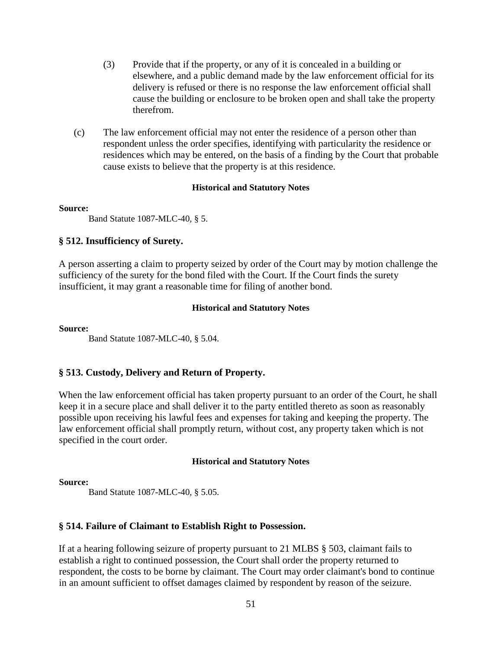- (3) Provide that if the property, or any of it is concealed in a building or elsewhere, and a public demand made by the law enforcement official for its delivery is refused or there is no response the law enforcement official shall cause the building or enclosure to be broken open and shall take the property therefrom.
- (c) The law enforcement official may not enter the residence of a person other than respondent unless the order specifies, identifying with particularity the residence or residences which may be entered, on the basis of a finding by the Court that probable cause exists to believe that the property is at this residence.

### **Source:**

Band Statute 1087-MLC-40, § 5.

# **§ 512. Insufficiency of Surety.**

A person asserting a claim to property seized by order of the Court may by motion challenge the sufficiency of the surety for the bond filed with the Court. If the Court finds the surety insufficient, it may grant a reasonable time for filing of another bond.

### **Historical and Statutory Notes**

**Source:** 

Band Statute 1087-MLC-40, § 5.04.

### **§ 513. Custody, Delivery and Return of Property.**

When the law enforcement official has taken property pursuant to an order of the Court, he shall keep it in a secure place and shall deliver it to the party entitled thereto as soon as reasonably possible upon receiving his lawful fees and expenses for taking and keeping the property. The law enforcement official shall promptly return, without cost, any property taken which is not specified in the court order.

### **Historical and Statutory Notes**

#### **Source:**

Band Statute 1087-MLC-40, § 5.05.

### **§ 514. Failure of Claimant to Establish Right to Possession.**

If at a hearing following seizure of property pursuant to 21 MLBS § 503, claimant fails to establish a right to continued possession, the Court shall order the property returned to respondent, the costs to be borne by claimant. The Court may order claimant's bond to continue in an amount sufficient to offset damages claimed by respondent by reason of the seizure.